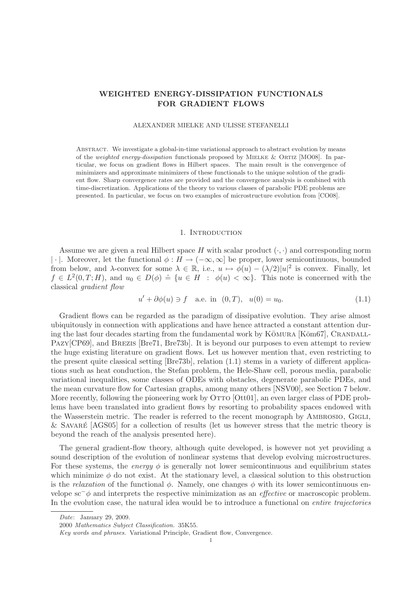# WEIGHTED ENERGY-DISSIPATION FUNCTIONALS FOR GRADIENT FLOWS

#### ALEXANDER MIELKE AND ULISSE STEFANELLI

Abstract. We investigate a global-in-time variational approach to abstract evolution by means of the weighted energy-dissipation functionals proposed by Mielke & Ortiz [MO08]. In particular, we focus on gradient flows in Hilbert spaces. The main result is the convergence of minimizers and approximate minimizers of these functionals to the unique solution of the gradient flow. Sharp convergence rates are provided and the convergence analysis is combined with time-discretization. Applications of the theory to various classes of parabolic PDE problems are presented. In particular, we focus on two examples of microstructure evolution from [CO08].

#### 1. INTRODUCTION

Assume we are given a real Hilbert space H with scalar product  $(\cdot, \cdot)$  and corresponding norm | · |. Moreover, let the functional  $\phi : H \to (-\infty, \infty]$  be proper, lower semicontinuous, bounded from below, and  $\lambda$ -convex for some  $\lambda \in \mathbb{R}$ , i.e.,  $u \mapsto \phi(u) - (\lambda/2)|u|^2$  is convex. Finally, let  $f \in L^2(0,T;H)$ , and  $u_0 \in D(\phi) \doteq \{u \in H : \phi(u) < \infty\}$ . This note is concerned with the classical *gradient flow*

$$
u' + \partial \phi(u) \ni f
$$
 a.e. in  $(0, T)$ ,  $u(0) = u_0$ . (1.1)

Gradient flows can be regarded as the paradigm of dissipative evolution. They arise almost ubiquitously in connection with applications and have hence attracted a constant attention during the last four decades starting from the fundamental work by  $K\bar{\text{OMURA}}$  [K $\bar{\text{Com67}}$ ], CRANDALL-Pazy[CP69], and Brezis [Bre71, Bre73b]. It is beyond our purposes to even attempt to review the huge existing literature on gradient flows. Let us however mention that, even restricting to the present quite classical setting [Bre73b], relation (1.1) stems in a variety of different applications such as heat conduction, the Stefan problem, the Hele-Shaw cell, porous media, parabolic variational inequalities, some classes of ODEs with obstacles, degenerate parabolic PDEs, and the mean curvature flow for Cartesian graphs, among many others [NSV00], see Section 7 below. More recently, following the pioneering work by OTTO [Ott01], an even larger class of PDE problems have been translated into gradient flows by resorting to probability spaces endowed with the Wasserstein metric. The reader is referred to the recent monograph by AMBROSIO, GIGLI, & SAVARÉ  $[AGS05]$  for a collection of results (let us however stress that the metric theory is beyond the reach of the analysis presented here).

The general gradient-flow theory, although quite developed, is however not yet providing a sound description of the evolution of nonlinear systems that develop evolving microstructures. For these systems, the *energy*  $\phi$  is generally not lower semicontinuous and equilibrium states which minimize  $\phi$  do not exist. At the stationary level, a classical solution to this obstruction is the *relaxation* of the functional  $\phi$ . Namely, one changes  $\phi$  with its lower semicontinuous envelope sc−φ and interprets the respective minimization as an *effective* or macroscopic problem. In the evolution case, the natural idea would be to introduce a functional on *entire trajectories*

Date: January 29, 2009.

<sup>2000</sup> Mathematics Subject Classification. 35K55.

Key words and phrases. Variational Principle, Gradient flow, Convergence.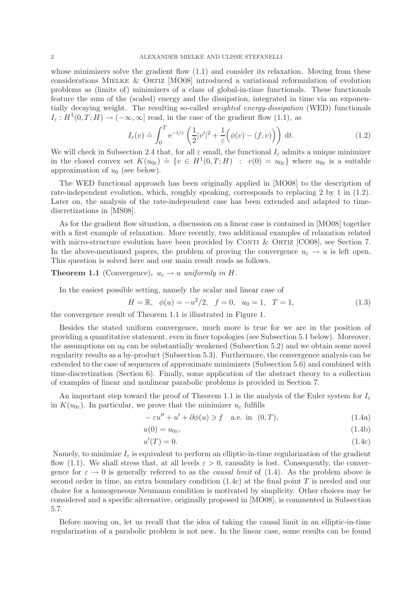whose minimizers solve the gradient flow  $(1.1)$  and consider its relaxation. Moving from these considerations Mielke & Ortiz [MO08] introduced a variational reformulation of evolution problems as (limits of) minimizers of a class of global-in-time functionals. These functionals feature the sum of the (scaled) energy and the dissipation, integrated in time via an exponentially decaying weight. The resulting so-called *weighted energy-dissipation* (WED) functionals  $I_{\varepsilon}: H^1(0,T;H) \to (-\infty,\infty]$  read, in the case of the gradient flow (1.1), as

$$
I_{\varepsilon}(v) \doteq \int_0^T e^{-t/\varepsilon} \left( \frac{1}{2} |v'|^2 + \frac{1}{\varepsilon} \left( \phi(v) - (f, v) \right) \right) dt.
$$
 (1.2)

We will check in Subsection 2.4 that, for all  $\varepsilon$  small, the functional  $I_{\varepsilon}$  admits a unique minimizer in the closed convex set  $K(u_{0\varepsilon}) \doteq \{v \in H^1(0,T;H) : v(0) = u_{0\varepsilon}\}\$  where  $u_{0\varepsilon}$  is a suitable approximation of  $u_0$  (see below).

The WED functional approach has been originally applied in [MO08] to the description of rate-independent evolution, which, roughly speaking, corresponds to replacing 2 by 1 in (1.2). Later on, the analysis of the rate-independent case has been extended and adapted to timediscretizations in [MS08].

As for the gradient flow situation, a discussion on a linear case is contained in [MO08] together with a first example of relaxation. More recently, two additional examples of relaxation related with micro-structure evolution have been provided by CONTI  $&$  ORTIZ [CO08], see Section 7. In the above-mentioned papers, the problem of proving the convergence  $u_{\varepsilon} \to u$  is left open. This question is solved here and our main result reads as follows.

# **Theorem 1.1** (Convergence).  $u_{\varepsilon} \to u$  *uniformly in* H.

In the easiest possible setting, namely the scalar and linear case of

$$
H = \mathbb{R}, \quad \phi(u) = -u^2/2, \quad f = 0, \quad u_0 = 1, \quad T = 1,\tag{1.3}
$$

the convergence result of Theorem 1.1 is illustrated in Figure 1.

Besides the stated uniform convergence, much more is true for we are in the position of providing a quantitative statement, even in finer topologies (see Subsection 5.1 below). Moreover, the assumptions on  $u_0$  can be substantially weakened (Subsection 5.2) and we obtain some novel regularity results as a by-product (Subsection 5.3). Furthermore, the convergence analysis can be extended to the case of sequences of approximate minimizers (Subsection 5.6) and combined with time-discretization (Section 6). Finally, some application of the abstract theory to a collection of examples of linear and nonlinear parabolic problems is provided in Section 7.

An important step toward the proof of Theorem 1.1 is the analysis of the Euler system for  $I_{\varepsilon}$ in  $K(u_{0\varepsilon})$ . In particular, we prove that the minimizer  $u_{\varepsilon}$  fulfills

$$
-\varepsilon u'' + u' + \partial\phi(u) \ni f \quad \text{a.e. in} \quad (0, T), \tag{1.4a}
$$

$$
u(0) = u_{0\varepsilon}, \tag{1.4b}
$$

$$
u'(T) = 0.\t\t(1.4c)
$$

Namely, to minimize  $I_{\varepsilon}$  is equivalent to perform an elliptic-in-time regularization of the gradient flow (1.1). We shall stress that, at all levels  $\varepsilon > 0$ , causality is lost. Consequently, the convergence for  $\varepsilon \to 0$  is generally referred to as the *causal limit* of (1.4). As the problem above is second order in time, an extra boundary condition  $(1.4c)$  at the final point T is needed and our choice for a homogeneous Neumann condition is motivated by simplicity. Other choices may be considered and a specific alternative, originally proposed in [MO08], is commented in Subsection 5.7.

Before moving on, let us recall that the idea of taking the causal limit in an elliptic-in-time regularization of a parabolic problem is not new. In the linear case, some results can be found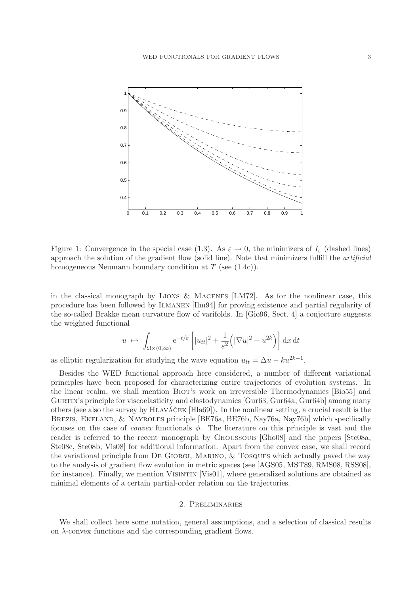

Figure 1: Convergence in the special case (1.3). As  $\varepsilon \to 0$ , the minimizers of  $I_{\varepsilon}$  (dashed lines) approach the solution of the gradient flow (solid line). Note that minimizers fulfill the *artificial* homogeneous Neumann boundary condition at T (see  $(1.4c)$ ).

in the classical monograph by LIONS & MAGENES  $[LM72]$ . As for the nonlinear case, this procedure has been followed by Ilmanen [Ilm94] for proving existence and partial regularity of the so-called Brakke mean curvature flow of varifolds. In [Gio96, Sect. 4] a conjecture suggests the weighted functional

$$
u \mapsto \int_{\Omega \times (0,\infty)} e^{-t/\varepsilon} \left[ |u_{tt}|^2 + \frac{1}{\varepsilon^2} \left( |\nabla u|^2 + u^{2k} \right) \right] dx dt
$$

as elliptic regularization for studying the wave equation  $u_{tt} = \Delta u - ku^{2k-1}$ .

Besides the WED functional approach here considered, a number of different variational principles have been proposed for characterizing entire trajectories of evolution systems. In the linear realm, we shall mention Biot's work on irreversible Thermodynamics [Bio55] and GURTIN's principle for viscoelasticity and elastodynamics [Gur63, Gur64a, Gur64b] among many others (see also the survey by  $HLAVAČEK [Hla69]$ ). In the nonlinear setting, a crucial result is the BREZIS, EKELAND, & NAYROLES principle [BE76a, BE76b, Nay76a, Nay76b] which specifically focuses on the case of *convex* functionals  $\phi$ . The literature on this principle is vast and the reader is referred to the recent monograph by GHOUSSOUB [Gho08] and the papers [Ste08a, Ste08c, Ste08b, Vis08] for additional information. Apart from the convex case, we shall record the variational principle from De Giorgi, Marino, & Tosques which actually paved the way to the analysis of gradient flow evolution in metric spaces (see [AGS05, MST89, RMS08, RSS08], for instance). Finally, we mention VISINTIN [Vis01], where generalized solutions are obtained as minimal elements of a certain partial-order relation on the trajectories.

#### 2. Preliminaries

We shall collect here some notation, general assumptions, and a selection of classical results on  $\lambda$ -convex functions and the corresponding gradient flows.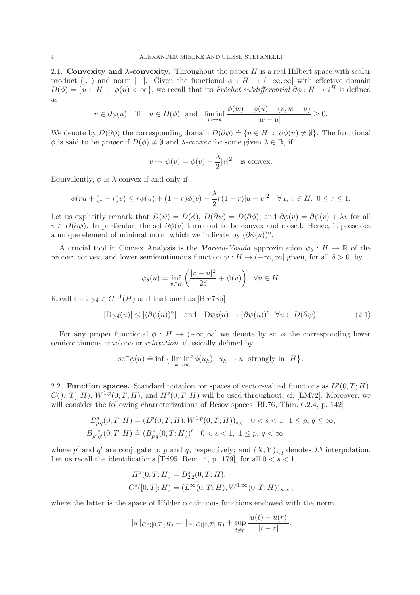2.1. Convexity and  $\lambda$ -convexity. Throughout the paper H is a real Hilbert space with scalar product  $(\cdot, \cdot)$  and norm  $|\cdot|$ . Given the functional  $\phi : H \to (-\infty, \infty]$  with effective domain  $D(\phi) = \{u \in H : \phi(u) < \infty\}$ , we recall that its *Fréchet subdifferential*  $\partial \phi : H \to 2^H$  is defined as

$$
v \in \partial \phi(u)
$$
 iff  $u \in D(\phi)$  and  $\liminf_{w \to u} \frac{\phi(w) - \phi(u) - (v, w - u)}{|w - u|} \ge 0$ .

We denote by  $D(\partial \phi)$  the corresponding domain  $D(\partial \phi) = \{u \in H : \partial \phi(u) \neq \emptyset\}$ . The functional  $\phi$  is said to be *proper* if  $D(\phi) \neq \emptyset$  and  $\lambda$ *-convex* for some given  $\lambda \in \mathbb{R}$ , if

$$
v \mapsto \psi(v) = \phi(v) - \frac{\lambda}{2}|v|^2
$$
 is convex.

Equivalently,  $\phi$  is  $\lambda$ -convex if and only if

$$
\phi(ru + (1 - r)v) \le r\phi(u) + (1 - r)\phi(v) - \frac{\lambda}{2}r(1 - r)|u - v|^2 \quad \forall u, v \in H, \ 0 \le r \le 1.
$$

Let us explicitly remark that  $D(\psi) = D(\phi)$ ,  $D(\partial \psi) = D(\partial \phi)$ , and  $\partial \phi(v) = \partial \psi(v) + \lambda v$  for all  $v \in D(\partial \phi)$ . In particular, the set  $\partial \phi(v)$  turns out to be convex and closed. Hence, it possesses a unique element of minimal norm which we indicate by  $(\partial \phi(u))^{\circ}$ .

A crucial tool in Convex Analysis is the *Moreau-Yosida* approximation  $\psi_{\delta}: H \to \mathbb{R}$  of the proper, convex, and lower semicontinuous function  $\psi : H \to (-\infty, \infty]$  given, for all  $\delta > 0$ , by

$$
\psi_{\delta}(u) = \inf_{v \in H} \left( \frac{|v - u|^2}{2\delta} + \psi(v) \right) \quad \forall u \in H.
$$

Recall that  $\psi_{\delta} \in C^{1,1}(H)$  and that one has [Bre73b]

$$
|D\psi_{\delta}(u)| \le |(\partial \psi(u))^{\circ}| \quad \text{and} \quad D\psi_{\delta}(u) \to (\partial \psi(u))^{\circ} \quad \forall u \in D(\partial \psi). \tag{2.1}
$$

For any proper functional  $\phi : H \to (-\infty, \infty]$  we denote by sc<sup>−</sup> $\phi$ </sup> the corresponding lower semicontinuous envelope or *relaxation*, classically defined by

$$
\mathrm{sc}^{-}\phi(u) \doteq \inf \big\{ \liminf_{k \to \infty} \phi(u_k), \ u_k \to u \ \text{ strongly in } H \big\}.
$$

2.2. Function spaces. Standard notation for spaces of vector-valued functions as  $L^p(0,T;H)$ ,  $C([0,T];H)$ ,  $W^{1,p}(0,T;H)$ , and  $H^s(0,T;H)$  will be used throughout, cf. [LM72]. Moreover, we will consider the following characterizations of Besov spaces [BL76, Thm. 6.2.4, p. 142]

$$
B_{pq}^{s}(0, T; H) \doteq (L^{p}(0, T; H), W^{1, p}(0, T; H))_{s,q} \quad 0 < s < 1, \ 1 \le p, \ q \le \infty,
$$
  

$$
B_{p'q'}^{-s}(0, T; H) \doteq (B_{pq}^{s}(0, T; H))' \quad 0 < s < 1, \ 1 \le p, \ q < \infty
$$

where p' and q' are conjugate to p and q, respectively; and  $(X,Y)_{s,q}$  denotes  $L^q$  interpolation. Let us recall the identifications [Tri95, Rem. 4, p. 179], for all  $0 < s < 1$ ,

$$
Hs(0, T; H) = B22s(0, T; H),
$$
  

$$
Cs([0, T]; H) = (L\infty(0, T; H), W1, \infty(0, T; H))s, \infty,
$$

where the latter is the space of Hölder continuous functions endowed with the norm

$$
||u||_{C^{s}([0,T];H)} \doteq ||u||_{C([0,T];H)} + \sup_{t \neq r} \frac{|u(t) - u(r)|}{|t - r|}.
$$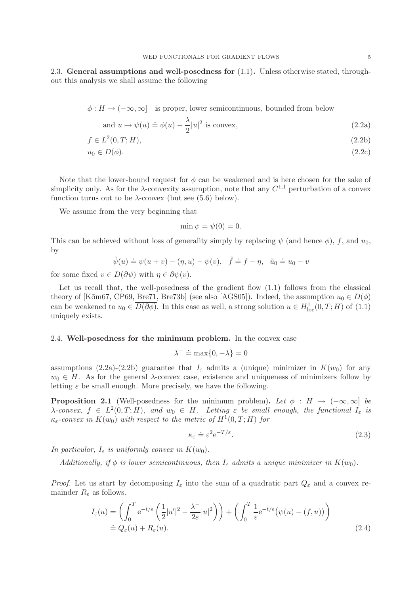2.3. General assumptions and well-posedness for  $(1.1)$ . Unless otherwise stated, throughout this analysis we shall assume the following

$$
\phi: H \to (-\infty, \infty] \quad \text{is proper, lower semicontinuous, bounded from below}
$$

and 
$$
u \mapsto \psi(u) \doteq \phi(u) - \frac{\lambda}{2}|u|^2
$$
 is convex, (2.2a)

$$
f \in L^2(0, T; H), \tag{2.2b}
$$

$$
u_0 \in D(\phi). \tag{2.2c}
$$

Note that the lower-bound request for  $\phi$  can be weakened and is here chosen for the sake of simplicity only. As for the  $\lambda$ -convexity assumption, note that any  $C^{1,1}$  perturbation of a convex function turns out to be  $\lambda$ -convex (but see (5.6) below).

We assume from the very beginning that

$$
\min \psi = \psi(0) = 0.
$$

This can be achieved without loss of generality simply by replacing  $\psi$  (and hence  $\phi$ ), f, and  $u_0$ , by

$$
\tilde{\psi}(u) \doteq \psi(u+v) - (\eta, u) - \psi(v), \quad \tilde{f} \doteq f - \eta, \quad \tilde{u}_0 \doteq u_0 - v
$$

for some fixed  $v \in D(\partial \psi)$  with  $\eta \in \partial \psi(v)$ .

Let us recall that, the well-posedness of the gradient flow  $(1.1)$  follows from the classical theory of [Kōm67, CP69, Bre71, Bre73b] (see also [AGS05]). Indeed, the assumption  $u_0 \in D(\phi)$ can be weakened to  $u_0 \in \overline{D(\partial \phi)}$ . In this case as well, a strong solution  $u \in H^1_{loc}(0,T;H)$  of  $(1.1)$ uniquely exists.

# 2.4. Well-posedness for the minimum problem. In the convex case

$$
\lambda^- \doteq \max\{0, -\lambda\} = 0
$$

assumptions (2.2a)-(2.2b) guarantee that  $I_{\varepsilon}$  admits a (unique) minimizer in  $K(w_0)$  for any  $w_0 \in H$ . As for the general  $\lambda$ -convex case, existence and uniqueness of minimizers follow by letting  $\varepsilon$  be small enough. More precisely, we have the following.

**Proposition 2.1** (Well-posedness for the minimum problem). Let  $\phi : H \to (-\infty, \infty]$  be  $\lambda$ -convex,  $f \in L^2(0,T;H)$ , and  $w_0 \in H$ . Letting  $\varepsilon$  be small enough, the functional  $I_{\varepsilon}$  is  $\kappa_{\varepsilon}$ -convex in  $K(w_0)$  with respect to the metric of  $H^1(0,T;H)$  for

$$
\kappa_{\varepsilon} \doteq \varepsilon^2 e^{-T/\varepsilon}.\tag{2.3}
$$

*In particular,*  $I_{\varepsilon}$  *is uniformly convex in*  $K(w_0)$ *.* 

*Additionally, if*  $\phi$  *is lower semicontinuous, then*  $I_{\varepsilon}$  *admits a unique minimizer in*  $K(w_0)$ *.* 

*Proof.* Let us start by decomposing  $I_{\varepsilon}$  into the sum of a quadratic part  $Q_{\varepsilon}$  and a convex remainder  $R_{\varepsilon}$  as follows.

$$
I_{\varepsilon}(u) = \left(\int_0^T e^{-t/\varepsilon} \left(\frac{1}{2}|u'|^2 - \frac{\lambda^-}{2\varepsilon}|u|^2\right)\right) + \left(\int_0^T \frac{1}{\varepsilon} e^{-t/\varepsilon} \left(\psi(u) - (f, u)\right)\right)
$$
  

$$
\doteq Q_{\varepsilon}(u) + R_{\varepsilon}(u).
$$
 (2.4)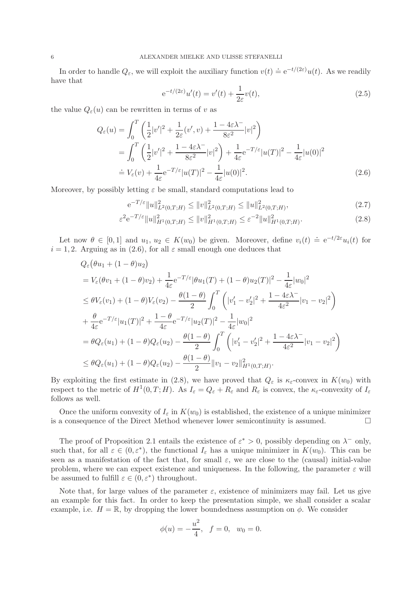In order to handle  $Q_{\varepsilon}$ , we will exploit the auxiliary function  $v(t) \doteq e^{-t/(2\varepsilon)}u(t)$ . As we readily have that

$$
e^{-t/(2\varepsilon)}u'(t) = v'(t) + \frac{1}{2\varepsilon}v(t),
$$
\n(2.5)

the value  $Q_{\varepsilon}(u)$  can be rewritten in terms of v as

$$
Q_{\varepsilon}(u) = \int_{0}^{T} \left( \frac{1}{2} |v'|^{2} + \frac{1}{2\varepsilon} (v', v) + \frac{1 - 4\varepsilon\lambda^{-}}{8\varepsilon^{2}} |v|^{2} \right)
$$
  
= 
$$
\int_{0}^{T} \left( \frac{1}{2} |v'|^{2} + \frac{1 - 4\varepsilon\lambda^{-}}{8\varepsilon^{2}} |v|^{2} \right) + \frac{1}{4\varepsilon} e^{-T/\varepsilon} |u(T)|^{2} - \frac{1}{4\varepsilon} |u(0)|^{2}
$$
  
= 
$$
V_{\varepsilon}(v) + \frac{1}{4\varepsilon} e^{-T/\varepsilon} |u(T)|^{2} - \frac{1}{4\varepsilon} |u(0)|^{2}.
$$
 (2.6)

Moreover, by possibly letting  $\varepsilon$  be small, standard computations lead to

$$
e^{-T/\varepsilon} \|u\|_{L^2(0,T;H)}^2 \le \|v\|_{L^2(0,T;H)}^2 \le \|u\|_{L^2(0,T;H)}^2,\tag{2.7}
$$

$$
\varepsilon^2 e^{-T/\varepsilon} \|u\|_{H^1(0,T;H)}^2 \le \|v\|_{H^1(0,T;H)}^2 \le \varepsilon^{-2} \|u\|_{H^1(0,T;H)}^2. \tag{2.8}
$$

Let now  $\theta \in [0,1]$  and  $u_1, u_2 \in K(w_0)$  be given. Moreover, define  $v_i(t) \doteq e^{-t/2\varepsilon}u_i(t)$  for  $i = 1, 2$ . Arguing as in (2.6), for all  $\varepsilon$  small enough one deduces that

$$
Q_{\varepsilon}(\theta u_{1} + (1 - \theta)u_{2})
$$
  
=  $V_{\varepsilon}(\theta v_{1} + (1 - \theta) v_{2}) + \frac{1}{4\varepsilon} e^{-T/\varepsilon} |\theta u_{1}(T) + (1 - \theta) u_{2}(T)|^{2} - \frac{1}{4\varepsilon} |w_{0}|^{2}$   
 $\leq \theta V_{\varepsilon}(v_{1}) + (1 - \theta) V_{\varepsilon}(v_{2}) - \frac{\theta(1 - \theta)}{2} \int_{0}^{T} (|v_{1}' - v_{2}'|^{2} + \frac{1 - 4\varepsilon\lambda^{-}}{4\varepsilon^{2}} |v_{1} - v_{2}|^{2})$   
 $+ \frac{\theta}{4\varepsilon} e^{-T/\varepsilon} |u_{1}(T)|^{2} + \frac{1 - \theta}{4\varepsilon} e^{-T/\varepsilon} |u_{2}(T)|^{2} - \frac{1}{4\varepsilon} |w_{0}|^{2}$   
 $= \theta Q_{\varepsilon}(u_{1}) + (1 - \theta) Q_{\varepsilon}(u_{2}) - \frac{\theta(1 - \theta)}{2} \int_{0}^{T} (|v_{1}' - v_{2}'|^{2} + \frac{1 - 4\varepsilon\lambda^{-}}{4\varepsilon^{2}} |v_{1} - v_{2}|^{2})$   
 $\leq \theta Q_{\varepsilon}(u_{1}) + (1 - \theta) Q_{\varepsilon}(u_{2}) - \frac{\theta(1 - \theta)}{2} ||v_{1} - v_{2}||_{H^{1}(0,T;H)}^{2}.$ 

By exploiting the first estimate in (2.8), we have proved that  $Q_{\varepsilon}$  is  $\kappa_{\varepsilon}$ -convex in  $K(w_0)$  with respect to the metric of  $H^1(0,T;H)$ . As  $I_{\varepsilon} = Q_{\varepsilon} + R_{\varepsilon}$  and  $R_{\varepsilon}$  is convex, the  $\kappa_{\varepsilon}$ -convexity of  $I_{\varepsilon}$ follows as well.

Once the uniform convexity of  $I_{\varepsilon}$  in  $K(w_0)$  is established, the existence of a unique minimizer is a consequence of the Direct Method whenever lower semicontinuity is assumed.  $\Box$ 

The proof of Proposition 2.1 entails the existence of  $\varepsilon^* > 0$ , possibly depending on  $\lambda^-$  only, such that, for all  $\varepsilon \in (0,\varepsilon^*)$ , the functional  $I_{\varepsilon}$  has a unique minimizer in  $K(w_0)$ . This can be seen as a manifestation of the fact that, for small  $\varepsilon$ , we are close to the (causal) initial-value problem, where we can expect existence and uniqueness. In the following, the parameter  $\varepsilon$  will be assumed to fulfill  $\varepsilon \in (0, \varepsilon^*)$  throughout.

Note that, for large values of the parameter  $\varepsilon$ , existence of minimizers may fail. Let us give an example for this fact. In order to keep the presentation simple, we shall consider a scalar example, i.e.  $H = \mathbb{R}$ , by dropping the lower boundedness assumption on  $\phi$ . We consider

$$
\phi(u) = -\frac{u^2}{4}, \quad f = 0, \quad w_0 = 0.
$$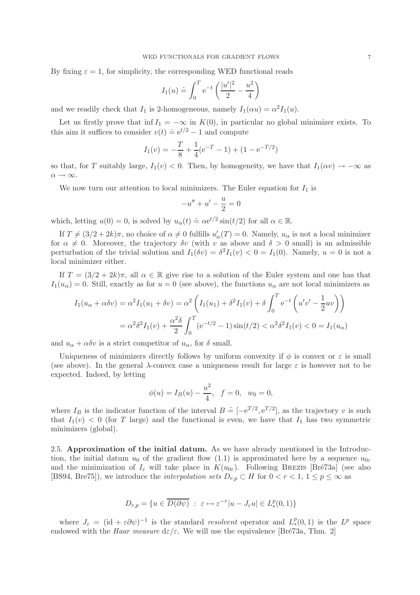By fixing  $\varepsilon = 1$ , for simplicity, the corresponding WED functional reads

$$
I_1(u) \doteq \int_0^T e^{-t} \left( \frac{|u'|^2}{2} - \frac{u^2}{4} \right)
$$

and we readily check that  $I_1$  is 2-homogeneous, namely  $I_1(\alpha u) = \alpha^2 I_1(u)$ .

Let us firstly prove that inf  $I_1 = -\infty$  in  $K(0)$ , in particular no global minimizer exists. To this aim it suffices to consider  $v(t) \doteq e^{t/2} - 1$  and compute

$$
I_1(v) = -\frac{T}{8} + \frac{1}{4}(e^{-T} - 1) + (1 - e^{-T/2})
$$

so that, for T suitably large,  $I_1(v) < 0$ . Then, by homogeneity, we have that  $I_1(\alpha v) \to -\infty$  as  $\alpha \rightarrow \infty$ .

We now turn our attention to local minimizers. The Euler equation for  $I_1$  is

$$
-u'' + u' - \frac{u}{2} = 0
$$

which, letting  $u(0) = 0$ , is solved by  $u_{\alpha}(t) \doteq \alpha e^{t/2} \sin(t/2)$  for all  $\alpha \in \mathbb{R}$ .

If  $T \neq (3/2 + 2k)\pi$ , no choice of  $\alpha \neq 0$  fulfills  $u'_{\alpha}(T) = 0$ . Namely,  $u_{\alpha}$  is not a local minimizer for  $\alpha \neq 0$ . Moreover, the trajectory  $\delta v$  (with v as above and  $\delta > 0$  small) is an admissible perturbation of the trivial solution and  $I_1(\delta v) = \delta^2 I_1(v) < 0 = I_1(0)$ . Namely,  $u = 0$  is not a local minimizer either.

If  $T = (3/2 + 2k)\pi$ , all  $\alpha \in \mathbb{R}$  give rise to a solution of the Euler system and one has that  $I_1(u_\alpha) = 0$ . Still, exactly as for  $u = 0$  (see above), the functions  $u_\alpha$  are not local minimizers as

$$
I_1(u_{\alpha} + \alpha \delta v) = \alpha^2 I_1(u_1 + \delta v) = \alpha^2 \left( I_1(u_1) + \delta^2 I_1(v) + \delta \int_0^T e^{-t} \left( u'v' - \frac{1}{2}uv \right) \right)
$$
  
=  $\alpha^2 \delta^2 I_1(v) + \frac{\alpha^2 \delta}{2} \int_0^T (e^{-t/2} - 1) \sin(t/2) < \alpha^2 \delta^2 I_1(v) < 0 = I_1(u_{\alpha})$ 

and  $u_{\alpha} + \alpha \delta v$  is a strict competitor of  $u_{\alpha}$ , for  $\delta$  small.

Uniqueness of minimizers directly follows by uniform convexity if  $\phi$  is convex or  $\varepsilon$  is small (see above). In the general  $\lambda$ -convex case a uniqueness result for large  $\varepsilon$  is however not to be expected. Indeed, by letting

$$
\phi(u) = I_B(u) - \frac{u^2}{4}, \quad f = 0, \quad w_0 = 0,
$$

where  $I_B$  is the indicator function of the interval  $B = [-e^{T/2}, e^{T/2}]$ , as the trajectory v is such that  $I_1(v) < 0$  (for T large) and the functional is even, we have that  $I_1$  has two symmetric minimizers (global).

2.5. Approximation of the initial datum. As we have already mentioned in the Introduction, the initial datum  $u_0$  of the gradient flow (1.1) is approximated here by a sequence  $u_{0\varepsilon}$ and the minimization of  $I_{\varepsilon}$  will take place in  $K(u_{0\varepsilon})$ . Following BREZIS [Bré73a] (see also [BS94, Bre75]), we introduce the *interpolation sets*  $D_{r,p} \subset H$  for  $0 < r < 1, 1 \le p \le \infty$  as

$$
D_{r,p} = \{ u \in \overline{D(\partial \psi)} \ : \ \varepsilon \mapsto \varepsilon^{-r} |u - J_{\varepsilon}u| \in L^p_*(0,1) \}
$$

where  $J_{\varepsilon} = (\mathrm{id} + \varepsilon \partial \psi)^{-1}$  is the standard *resolvent* operator and  $L_*^p(0,1)$  is the  $L^p$  space endowed with the *Haar measure*  $d\varepsilon/\varepsilon$ . We will use the equivalence [Bré73a, Thm. 2]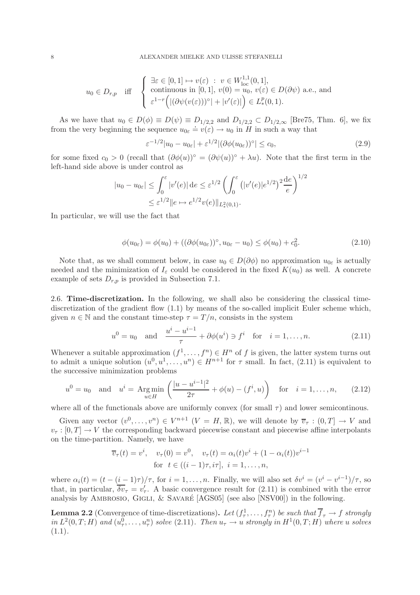$$
u_0 \in D_{r,p} \quad \text{iff} \quad \begin{cases} \n\exists \varepsilon \in [0,1] \mapsto v(\varepsilon) \ : \ v \in W^{1,1}_{\text{loc}}(0,1], \\
\text{ continuous in } [0,1], \ v(0) = u_0, \ v(\varepsilon) \in D(\partial \psi) \text{ a.e., and} \\
\varepsilon^{1-r} \Big( |(\partial \psi(v(\varepsilon)))^\circ| + |v'(\varepsilon)| \Big) \in L^p_*(0,1). \n\end{cases}
$$

As we have that  $u_0 \in D(\phi) \equiv D(\psi) \equiv D_{1/2,2}$  and  $D_{1/2,2} \subset D_{1/2,\infty}$  [Bre75, Thm. 6], we fix from the very beginning the sequence  $u_{0\varepsilon} \doteq v(\varepsilon) \rightarrow u_0$  in H in such a way that

$$
\varepsilon^{-1/2}|u_0 - u_{0\varepsilon}| + \varepsilon^{1/2} |(\partial \phi(u_{0\varepsilon}))^{\circ}| \le c_0,
$$
\n(2.9)

for some fixed  $c_0 > 0$  (recall that  $(\partial \phi(u))^{\circ} = (\partial \psi(u))^{\circ} + \lambda u$ ). Note that the first term in the left-hand side above is under control as

$$
|u_0 - u_{0\varepsilon}| \le \int_0^{\varepsilon} |v'(e)| \, de \le \varepsilon^{1/2} \left( \int_0^{\varepsilon} (|v'(e)| e^{1/2})^2 \frac{de}{e} \right)^{1/2}
$$
  

$$
\le \varepsilon^{1/2} \|e \mapsto e^{1/2} v(e)\|_{L^2_*(0,1)}.
$$

In particular, we will use the fact that

$$
\phi(u_{0\varepsilon}) = \phi(u_0) + ((\partial \phi(u_{0\varepsilon}))^\circ, u_{0\varepsilon} - u_0) \le \phi(u_0) + c_0^2. \tag{2.10}
$$

Note that, as we shall comment below, in case  $u_0 \in D(\partial \phi)$  no approximation  $u_{0\varepsilon}$  is actually needed and the minimization of  $I_{\varepsilon}$  could be considered in the fixed  $K(u_0)$  as well. A concrete example of sets  $D_{r,p}$  is provided in Subsection 7.1.

2.6. Time-discretization. In the following, we shall also be considering the classical timediscretization of the gradient flow (1.1) by means of the so-called implicit Euler scheme which, given  $n \in \mathbb{N}$  and the constant time-step  $\tau = T/n$ , consists in the system

$$
u^{0} = u_{0}
$$
 and  $\frac{u^{i} - u^{i-1}}{\tau} + \partial \phi(u^{i}) \ni f^{i}$  for  $i = 1, ..., n$ . (2.11)

Whenever a suitable approximation  $(f^1, \ldots, f^n) \in H^n$  of f is given, the latter system turns out to admit a unique solution  $(u^0, u^1, \ldots, u^n) \in H^{n+1}$  for  $\tau$  small. In fact, (2.11) is equivalent to the successive minimization problems

$$
u^{0} = u_{0} \text{ and } u^{i} = \text{Arg}\min_{u \in H} \left( \frac{|u - u^{i-1}|^{2}}{2\tau} + \phi(u) - (f^{i}, u) \right) \text{ for } i = 1, ..., n, \quad (2.12)
$$

where all of the functionals above are uniformly convex (for small  $\tau$ ) and lower semicontinous.

Given any vector  $(v^0, \ldots, v^n) \in V^{n+1}$   $(V = H, \mathbb{R})$ , we will denote by  $\overline{v}_{\tau} : (0, T] \to V$  and  $v_{\tau}:[0,T] \to V$  the corresponding backward piecewise constant and piecewise affine interpolants on the time-partition. Namely, we have

$$
\overline{v}_{\tau}(t) = v^{i}, \quad v_{\tau}(0) = v^{0}, \quad v_{\tau}(t) = \alpha_{i}(t)v^{i} + (1 - \alpha_{i}(t))v^{i-1}
$$
  
for  $t \in ((i - 1)\tau, i\tau], i = 1, ..., n$ ,

where  $\alpha_i(t) = (t - (i-1)\tau)/\tau$ , for  $i = 1, ..., n$ . Finally, we will also set  $\delta v^i = (v^i - v^{i-1})/\tau$ , so that, in particular,  $\overline{\delta v_{\tau}} = v_{\tau}'$ . A basic convergence result for (2.11) is combined with the error analysis by AMBROSIO, GIGLI,  $&$  SAVARÉ [AGS05] (see also [NSV00]) in the following.

**Lemma 2.2** (Convergence of time-discretizations). Let  $(f^1_\tau, \ldots, f^n_\tau)$  be such that  $\overline{f}_\tau \to f$  strongly  $in L<sup>2</sup>(0,T;H)$  and  $(u<sub>\tau</sub><sup>0</sup>,...,u<sub>\tau</sub><sup>n</sup>)$  *solve* (2.11)*. Then*  $u<sub>\tau</sub> \to u$  *strongly in*  $H<sup>1</sup>(0,T;H)$  *where* u *solves* (1.1)*.*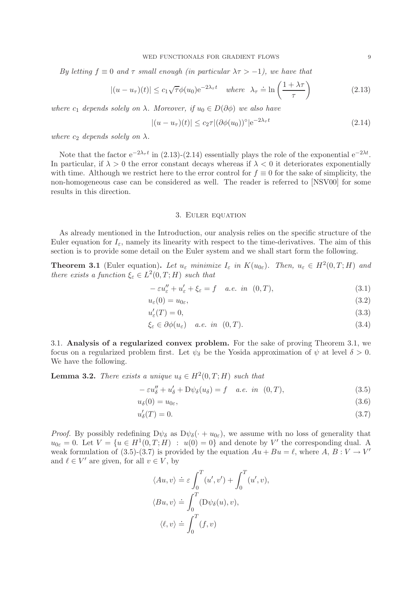*By letting*  $f \equiv 0$  *and*  $\tau$  *small enough (in particular*  $\lambda \tau > -1$ ), we have that

$$
|(u - u_{\tau})(t)| \le c_1 \sqrt{\tau} \phi(u_0) e^{-2\lambda_{\tau} t} \quad \text{where} \quad \lambda_{\tau} \doteq \ln\left(\frac{1 + \lambda \tau}{\tau}\right) \tag{2.13}
$$

*where*  $c_1$  *depends solely on*  $\lambda$ *. Moreover, if*  $u_0 \in D(\partial \phi)$  *we also have* 

$$
|(u - u\tau)(t)| \le c_2 \tau |(\partial \phi(u_0))^{\circ}| e^{-2\lambda_{\tau} t}
$$
\n(2.14)

*where*  $c_2$  *depends solely on*  $\lambda$ *.* 

Note that the factor  $e^{-2\lambda_{\tau}t}$  in (2.13)-(2.14) essentially plays the role of the exponential  $e^{-2\lambda t}$ . In particular, if  $\lambda > 0$  the error constant decays whereas if  $\lambda < 0$  it deteriorates exponentially with time. Although we restrict here to the error control for  $f \equiv 0$  for the sake of simplicity, the non-homogeneous case can be considered as well. The reader is referred to [NSV00] for some results in this direction.

#### 3. Euler equation

As already mentioned in the Introduction, our analysis relies on the specific structure of the Euler equation for  $I_{\varepsilon}$ , namely its linearity with respect to the time-derivatives. The aim of this section is to provide some detail on the Euler system and we shall start form the following.

**Theorem 3.1** (Euler equation). Let  $u_{\varepsilon}$  minimize  $I_{\varepsilon}$  in  $K(u_{0\varepsilon})$ . Then,  $u_{\varepsilon} \in H^2(0,T;H)$  and *there exists a function*  $\xi_{\varepsilon} \in L^2(0,T;H)$  *such that* 

$$
-\varepsilon u''_{\varepsilon} + u'_{\varepsilon} + \xi_{\varepsilon} = f \quad a.e. \in (0, T), \tag{3.1}
$$

$$
u_{\varepsilon}(0) = u_{0\varepsilon},\tag{3.2}
$$

$$
u'_{\varepsilon}(T) = 0,\t\t(3.3)
$$

$$
\xi_{\varepsilon} \in \partial \phi(u_{\varepsilon}) \quad a.e. \quad in \quad (0, T). \tag{3.4}
$$

3.1. Analysis of a regularized convex problem. For the sake of proving Theorem 3.1, we focus on a regularized problem first. Let  $\psi_{\delta}$  be the Yosida approximation of  $\psi$  at level  $\delta > 0$ . We have the following.

**Lemma 3.2.** *There exists a unique*  $u_{\delta} \in H^2(0,T;H)$  *such that* 

$$
-\varepsilon u''_{\delta} + u'_{\delta} + D\psi_{\delta}(u_{\delta}) = f \quad a.e. \text{ in } (0, T), \tag{3.5}
$$

$$
u_{\delta}(0) = u_{0\varepsilon},\tag{3.6}
$$

$$
u'_{\delta}(T) = 0.\t\t(3.7)
$$

*Proof.* By possibly redefining  $D\psi_{\delta}$  as  $D\psi_{\delta}(\cdot + u_{0\epsilon})$ , we assume with no loss of generality that  $u_{0\varepsilon} = 0$ . Let  $V = \{u \in H^1(0,T;H) : u(0) = 0\}$  and denote by V' the corresponding dual. A weak formulation of (3.5)-(3.7) is provided by the equation  $Au + Bu = \ell$ , where  $A, B: V \to V'$ and  $\ell \in V'$  are given, for all  $v \in V$ , by

$$
\langle Au, v \rangle \doteq \varepsilon \int_0^T (u', v') + \int_0^T (u', v),
$$
  

$$
\langle Bu, v \rangle \doteq \int_0^T (D\psi_{\delta}(u), v),
$$
  

$$
\langle \ell, v \rangle \doteq \int_0^T (f, v)
$$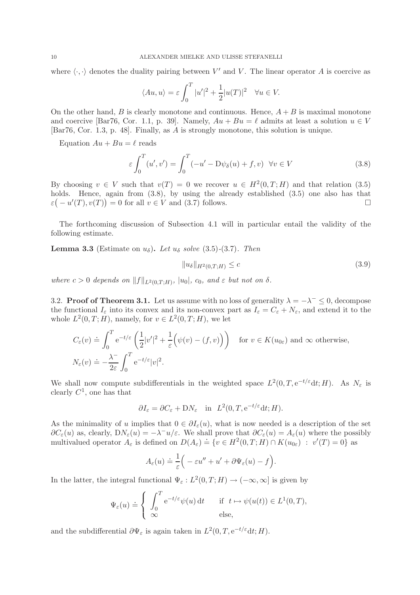where  $\langle \cdot, \cdot \rangle$  denotes the duality pairing between V' and V. The linear operator A is coercive as

$$
\langle Au, u \rangle = \varepsilon \int_0^T |u'|^2 + \frac{1}{2}|u(T)|^2 \quad \forall u \in V.
$$

On the other hand, B is clearly monotone and continuous. Hence,  $A + B$  is maximal monotone and coercive [Bar76, Cor. 1.1, p. 39]. Namely,  $Au + Bu = \ell$  admits at least a solution  $u \in V$ [Bar76, Cor. 1.3, p. 48]. Finally, as A is strongly monotone, this solution is unique.

Equation  $Au + Bu = \ell$  reads

$$
\varepsilon \int_0^T (u', v') = \int_0^T (-u' - D\psi_\delta(u) + f, v) \quad \forall v \in V
$$
\n(3.8)

By choosing  $v \in V$  such that  $v(T) = 0$  we recover  $u \in H^2(0,T;H)$  and that relation (3.5) holds. Hence, again from  $(3.8)$ , by using the already established  $(3.5)$  one also has that  $\varepsilon(-u'(T), v(T)) = 0$  for all  $v \in V$  and (3.7) follows.

The forthcoming discussion of Subsection 4.1 will in particular entail the validity of the following estimate.

**Lemma 3.3** (Estimate on  $u_{\delta}$ ). Let  $u_{\delta}$  solve (3.5)-(3.7). Then

$$
||u_{\delta}||_{H^{2}(0,T;H)} \leq c \tag{3.9}
$$

*where*  $c > 0$  *depends on*  $||f||_{L^2(0,T;H)}$ ,  $|u_0|$ ,  $c_0$ , and  $\varepsilon$  but not on  $\delta$ .

3.2. **Proof of Theorem 3.1.** Let us assume with no loss of generality  $\lambda = -\lambda^- \leq 0$ , decompose the functional  $I_{\varepsilon}$  into its convex and its non-convex part as  $I_{\varepsilon} = C_{\varepsilon} + N_{\varepsilon}$ , and extend it to the whole  $L^2(0,T;H)$ , namely, for  $v \in L^2(0,T;H)$ , we let

$$
C_{\varepsilon}(v) \doteq \int_0^T e^{-t/\varepsilon} \left( \frac{1}{2} |v'|^2 + \frac{1}{\varepsilon} \left( \psi(v) - (f, v) \right) \right) \quad \text{for } v \in K(u_{0\varepsilon}) \text{ and } \infty \text{ otherwise,}
$$
  

$$
N_{\varepsilon}(v) \doteq -\frac{\lambda^-}{2\varepsilon} \int_0^T e^{-t/\varepsilon} |v|^2.
$$

We shall now compute subdifferentials in the weighted space  $L^2(0,T, e^{-t/\varepsilon} dt; H)$ . As  $N_{\varepsilon}$  is clearly  $C^1$ , one has that

$$
\partial I_{\varepsilon} = \partial C_{\varepsilon} + \mathcal{D}N_{\varepsilon}
$$
 in  $L^2(0, T, e^{-t/\varepsilon} dt; H)$ .

As the minimality of u implies that  $0 \in \partial I_{\varepsilon}(u)$ , what is now needed is a description of the set  $\partial C_{\varepsilon}(u)$  as, clearly,  $DN_{\varepsilon}(u) = -\lambda^{-}u/\varepsilon$ . We shall prove that  $\partial C_{\varepsilon}(u) = A_{\varepsilon}(u)$  where the possibly multivalued operator  $A_{\varepsilon}$  is defined on  $D(A_{\varepsilon}) = \{v \in H^2(0,T;H) \cap K(u_{0\varepsilon}) : v'(T) = 0\}$  as

$$
A_{\varepsilon}(u) \doteq \frac{1}{\varepsilon} \Big( -\varepsilon u'' + u' + \partial \Psi_{\varepsilon}(u) - f \Big).
$$

In the latter, the integral functional  $\Psi_{\varepsilon}: L^2(0,T;H) \to (-\infty,\infty]$  is given by

$$
\Psi_{\varepsilon}(u) \doteq \begin{cases} \n\int_0^T e^{-t/\varepsilon} \psi(u) dt & \text{if } t \mapsto \psi(u(t)) \in L^1(0, T), \\ \n\infty & \text{else,} \n\end{cases}
$$

and the subdifferential  $\partial \Psi_{\varepsilon}$  is again taken in  $L^2(0,T, e^{-t/\varepsilon} dt; H)$ .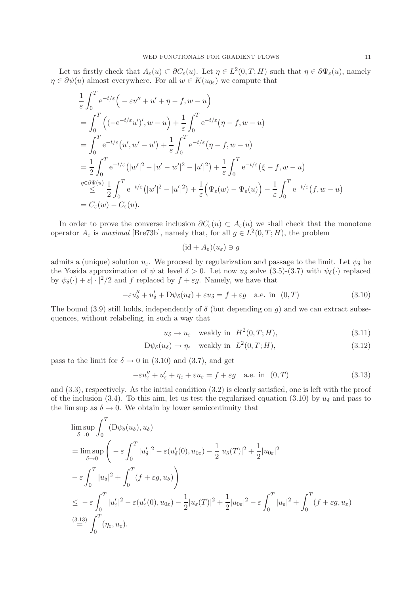Let us firstly check that  $A_{\varepsilon}(u) \subset \partial C_{\varepsilon}(u)$ . Let  $\eta \in L^2(0,T;H)$  such that  $\eta \in \partial \Psi_{\varepsilon}(u)$ , namely  $\eta \in \partial \psi(u)$  almost everywhere. For all  $w \in K(u_{0\varepsilon})$  we compute that

$$
\frac{1}{\varepsilon} \int_0^T e^{-t/\varepsilon} \Big( -\varepsilon u'' + u' + \eta - f, w - u \Big) \n= \int_0^T \Big( (-e^{-t/\varepsilon} u'')', w - u \Big) + \frac{1}{\varepsilon} \int_0^T e^{-t/\varepsilon} (\eta - f, w - u) \n= \int_0^T e^{-t/\varepsilon} (u', w' - u') + \frac{1}{\varepsilon} \int_0^T e^{-t/\varepsilon} (\eta - f, w - u) \n= \frac{1}{2} \int_0^T e^{-t/\varepsilon} (|w'|^2 - |u' - w'|^2 - |u'|^2) + \frac{1}{\varepsilon} \int_0^T e^{-t/\varepsilon} (\xi - f, w - u) \n\stackrel{\eta \in \partial \Psi(u)}{\leq} \frac{1}{2} \int_0^T e^{-t/\varepsilon} (|w'|^2 - |u'|^2) + \frac{1}{\varepsilon} \Big( \Psi_\varepsilon(w) - \Psi_\varepsilon(u) \Big) - \frac{1}{\varepsilon} \int_0^T e^{-t/\varepsilon} (f, w - u) \n= C_\varepsilon(w) - C_\varepsilon(u).
$$

In order to prove the converse inclusion  $\partial C_{\varepsilon}(u) \subset A_{\varepsilon}(u)$  we shall check that the monotone operator  $A_{\varepsilon}$  is *maximal* [Bre73b], namely that, for all  $g \in L^2(0,T;H)$ , the problem

$$
(\mathrm{id} + A_{\varepsilon})(u_{\varepsilon}) \ni g
$$

admits a (unique) solution  $u_{\varepsilon}$ . We proceed by regularization and passage to the limit. Let  $\psi_{\delta}$  be the Yosida approximation of  $\psi$  at level  $\delta > 0$ . Let now  $u_{\delta}$  solve (3.5)-(3.7) with  $\psi_{\delta}(\cdot)$  replaced by  $\psi_{\delta}(\cdot) + \varepsilon |\cdot|^2/2$  and f replaced by  $f + \varepsilon g$ . Namely, we have that

$$
-\varepsilon u''_{\delta} + u'_{\delta} + D\psi_{\delta}(u_{\delta}) + \varepsilon u_{\delta} = f + \varepsilon g \quad \text{a.e. in} \quad (0, T) \tag{3.10}
$$

The bound (3.9) still holds, independently of  $\delta$  (but depending on g) and we can extract subsequences, without relabeling, in such a way that

$$
u_{\delta} \to u_{\varepsilon} \quad \text{weakly in} \quad H^2(0, T; H), \tag{3.11}
$$

$$
D\psi_{\delta}(u_{\delta}) \to \eta_{\varepsilon} \quad \text{weakly in} \quad L^{2}(0, T; H), \tag{3.12}
$$

pass to the limit for  $\delta \rightarrow 0$  in (3.10) and (3.7), and get

$$
-\varepsilon u_{\varepsilon}'' + u_{\varepsilon}' + \eta_{\varepsilon} + \varepsilon u_{\varepsilon} = f + \varepsilon g \quad \text{a.e. in} \quad (0, T) \tag{3.13}
$$

and (3.3), respectively. As the initial condition (3.2) is clearly satisfied, one is left with the proof of the inclusion (3.4). To this aim, let us test the regularized equation (3.10) by  $u_{\delta}$  and pass to the lim sup as  $\delta \to 0$ . We obtain by lower semicontinuity that

$$
\limsup_{\delta \to 0} \int_0^T (D\psi_{\delta}(u_{\delta}), u_{\delta})
$$
\n
$$
= \limsup_{\delta \to 0} \left( -\varepsilon \int_0^T |u'_{\delta}|^2 - \varepsilon (u'_{\delta}(0), u_{0\varepsilon}) - \frac{1}{2} |u_{\delta}(T)|^2 + \frac{1}{2} |u_{0\varepsilon}|^2
$$
\n
$$
- \varepsilon \int_0^T |u_{\delta}|^2 + \int_0^T (f + \varepsilon g, u_{\delta}) \right)
$$
\n
$$
\leq -\varepsilon \int_0^T |u'_{\varepsilon}|^2 - \varepsilon (u'_{\varepsilon}(0), u_{0\varepsilon}) - \frac{1}{2} |u_{\varepsilon}(T)|^2 + \frac{1}{2} |u_{0\varepsilon}|^2 - \varepsilon \int_0^T |u_{\varepsilon}|^2 + \int_0^T (f + \varepsilon g, u_{\varepsilon})
$$
\n
$$
\stackrel{(3.13)}{=} \int_0^T (\eta_{\varepsilon}, u_{\varepsilon}).
$$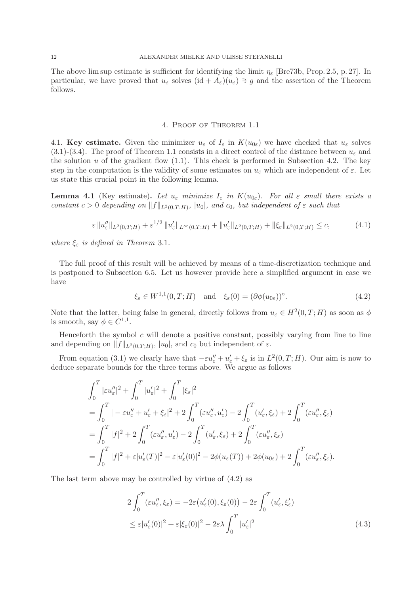The above lim sup estimate is sufficient for identifying the limit  $\eta_{\varepsilon}$  [Bre73b, Prop. 2.5, p. 27]. In particular, we have proved that  $u_{\varepsilon}$  solves  $(id + A_{\varepsilon})(u_{\varepsilon}) \ni g$  and the assertion of the Theorem follows.

#### 4. Proof of Theorem 1.1

4.1. Key estimate. Given the minimizer  $u_{\varepsilon}$  of  $I_{\varepsilon}$  in  $K(u_{0\varepsilon})$  we have checked that  $u_{\varepsilon}$  solves  $(3.1)-(3.4)$ . The proof of Theorem 1.1 consists in a direct control of the distance between  $u_{\varepsilon}$  and the solution  $u$  of the gradient flow  $(1.1)$ . This check is performed in Subsection 4.2. The key step in the computation is the validity of some estimates on  $u_{\varepsilon}$  which are independent of  $\varepsilon$ . Let us state this crucial point in the following lemma.

**Lemma 4.1** (Key estimate). Let  $u_{\varepsilon}$  *minimize*  $I_{\varepsilon}$  *in*  $K(u_{0\varepsilon})$ *. For all*  $\varepsilon$  *small there exists a constant*  $c > 0$  *depending on*  $||f||_{L^2(0,T;H)}$ ,  $|u_0|$ , and  $c_0$ , but independent of  $\varepsilon$  *such that* 

$$
\varepsilon \|u_{\varepsilon}''\|_{L^{2}(0,T;H)} + \varepsilon^{1/2} \|u_{\varepsilon}'\|_{L^{\infty}(0,T;H)} + \|u_{\varepsilon}'\|_{L^{2}(0,T;H)} + \|\xi_{\varepsilon}\|_{L^{2}(0,T;H)} \leq c,
$$
\n(4.1)

*where*  $\xi_{\varepsilon}$  *is defined in Theorem* 3.1*.* 

The full proof of this result will be achieved by means of a time-discretization technique and is postponed to Subsection 6.5. Let us however provide here a simplified argument in case we have

$$
\xi_{\varepsilon} \in W^{1,1}(0,T;H) \quad \text{and} \quad \xi_{\varepsilon}(0) = (\partial \phi(u_{0\varepsilon}))^{\circ}.
$$
 (4.2)

Note that the latter, being false in general, directly follows from  $u_{\varepsilon} \in H^2(0,T;H)$  as soon as  $\phi$ is smooth, say  $\phi \in C^{1,1}$ .

Henceforth the symbol  $c$  will denote a positive constant, possibly varying from line to line and depending on  $||f||_{L^2(0,T;H)}$ ,  $|u_0|$ , and  $c_0$  but independent of  $\varepsilon$ .

From equation (3.1) we clearly have that  $-\varepsilon u''_{\varepsilon} + u'_{\varepsilon} + \xi_{\varepsilon}$  is in  $L^2(0,T;H)$ . Our aim is now to deduce separate bounds for the three terms above. We argue as follows

$$
\int_0^T |\varepsilon u''_{\varepsilon}|^2 + \int_0^T |u'_{\varepsilon}|^2 + \int_0^T |\xi_{\varepsilon}|^2
$$
  
= 
$$
\int_0^T |-\varepsilon u''_{\varepsilon} + u'_{\varepsilon} + \xi_{\varepsilon}|^2 + 2 \int_0^T (\varepsilon u''_{\varepsilon}, u'_{\varepsilon}) - 2 \int_0^T (u'_{\varepsilon}, \xi_{\varepsilon}) + 2 \int_0^T (\varepsilon u''_{\varepsilon}, \xi_{\varepsilon})
$$
  
= 
$$
\int_0^T |f|^2 + 2 \int_0^T (\varepsilon u''_{\varepsilon}, u'_{\varepsilon}) - 2 \int_0^T (u'_{\varepsilon}, \xi_{\varepsilon}) + 2 \int_0^T (\varepsilon u''_{\varepsilon}, \xi_{\varepsilon})
$$
  
= 
$$
\int_0^T |f|^2 + \varepsilon |u'_{\varepsilon}(T)|^2 - \varepsilon |u'_{\varepsilon}(0)|^2 - 2\phi(u_{\varepsilon}(T)) + 2\phi(u_{0\varepsilon}) + 2 \int_0^T (\varepsilon u''_{\varepsilon}, \xi_{\varepsilon}).
$$

The last term above may be controlled by virtue of (4.2) as

$$
2\int_0^T (\varepsilon u''_{\varepsilon}, \xi_{\varepsilon}) = -2\varepsilon (u'_{\varepsilon}(0), \xi_{\varepsilon}(0)) - 2\varepsilon \int_0^T (u'_{\varepsilon}, \xi'_{\varepsilon})
$$
  

$$
\leq \varepsilon |u'_{\varepsilon}(0)|^2 + \varepsilon |\xi_{\varepsilon}(0)|^2 - 2\varepsilon \lambda \int_0^T |u'_{\varepsilon}|^2
$$
(4.3)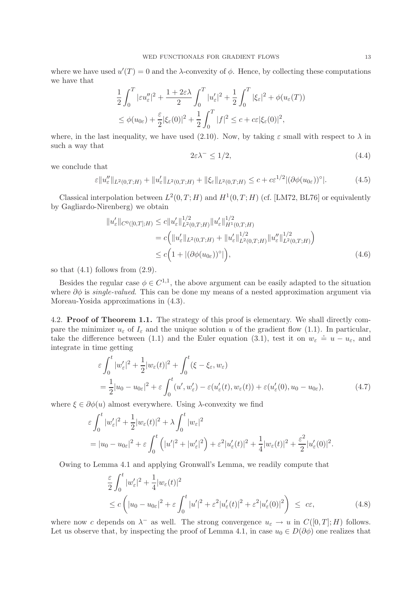where we have used  $u'(T) = 0$  and the  $\lambda$ -convexity of  $\phi$ . Hence, by collecting these computations we have that

$$
\frac{1}{2} \int_0^T |\varepsilon u_{\varepsilon}''|^2 + \frac{1+2\varepsilon\lambda}{2} \int_0^T |u_{\varepsilon}'|^2 + \frac{1}{2} \int_0^T |\xi_{\varepsilon}|^2 + \phi(u_{\varepsilon}(T))
$$
  

$$
\leq \phi(u_{0\varepsilon}) + \frac{\varepsilon}{2} |\xi_{\varepsilon}(0)|^2 + \frac{1}{2} \int_0^T |f|^2 \leq c + c\varepsilon |\xi_{\varepsilon}(0)|^2,
$$

where, in the last inequality, we have used (2.10). Now, by taking  $\varepsilon$  small with respect to  $\lambda$  in such a way that

 $2\varepsilon\lambda^{-} \leq 1/2,$  (4.4)

we conclude that

$$
\varepsilon \|u''_{\varepsilon}\|_{L^2(0,T;H)} + \|u'_{\varepsilon}\|_{L^2(0,T;H)} + \|\xi_{\varepsilon}\|_{L^2(0,T;H)} \leq c + c\varepsilon^{1/2} |(\partial\phi(u_{0\varepsilon}))^{\circ}|. \tag{4.5}
$$

Classical interpolation between  $L^2(0,T;H)$  and  $H^1(0,T;H)$  (cf. [LM72, BL76] or equivalently by Gagliardo-Nirenberg) we obtain

$$
||u'_{\varepsilon}||_{C^{0}([0,T];H)} \leq c||u'_{\varepsilon}||_{L^{2}(0,T;H)}^{1/2}||u'_{\varepsilon}||_{H^{1}(0,T;H)}^{1/2}
$$
  
=  $c\Big(||u'_{\varepsilon}||_{L^{2}(0,T;H)} + ||u'_{\varepsilon}||_{L^{2}(0,T;H)}^{1/2}||u''_{\varepsilon}||_{L^{2}(0,T;H)}^{1/2}\Big)$   
 $\leq c\Big(1+|(\partial\phi(u_{0\varepsilon}))^{\circ}|\Big),$  (4.6)

so that  $(4.1)$  follows from  $(2.9)$ .

Besides the regular case  $\phi \in C^{1,1}$ , the above argument can be easily adapted to the situation where ∂φ is *single-valued*. This can be done my means of a nested approximation argument via Moreau-Yosida approximations in (4.3).

4.2. Proof of Theorem 1.1. The strategy of this proof is elementary. We shall directly compare the minimizer  $u_{\varepsilon}$  of  $I_{\varepsilon}$  and the unique solution u of the gradient flow (1.1). In particular, take the difference between (1.1) and the Euler equation (3.1), test it on  $w_{\varepsilon} \doteq u - u_{\varepsilon}$ , and integrate in time getting

$$
\varepsilon \int_0^t |w_{\varepsilon}'|^2 + \frac{1}{2}|w_{\varepsilon}(t)|^2 + \int_0^t (\xi - \xi_{\varepsilon}, w_{\varepsilon})
$$
  
=  $\frac{1}{2}|u_0 - u_{0\varepsilon}|^2 + \varepsilon \int_0^t (u', w_{\varepsilon}') - \varepsilon(u_{\varepsilon}'(t), w_{\varepsilon}(t)) + \varepsilon(u_{\varepsilon}'(0), u_0 - u_{0\varepsilon}),$  (4.7)

where  $\xi \in \partial \phi(u)$  almost everywhere. Using  $\lambda$ -convexity we find

$$
\varepsilon \int_0^t |w_{\varepsilon}'|^2 + \frac{1}{2}|w_{\varepsilon}(t)|^2 + \lambda \int_0^t |w_{\varepsilon}|^2
$$
  
=  $|u_0 - u_{0\varepsilon}|^2 + \varepsilon \int_0^t (|u'|^2 + |w_{\varepsilon}'|^2) + \varepsilon^2 |u_{\varepsilon}'(t)|^2 + \frac{1}{4}|w_{\varepsilon}(t)|^2 + \frac{\varepsilon^2}{2}|u_{\varepsilon}'(0)|^2.$ 

Owing to Lemma 4.1 and applying Gronwall's Lemma, we readily compute that

$$
\frac{\varepsilon}{2} \int_0^t |w_{\varepsilon}'|^2 + \frac{1}{4} |w_{\varepsilon}(t)|^2
$$
\n
$$
\leq c \left( |u_0 - u_{0\varepsilon}|^2 + \varepsilon \int_0^t |u'|^2 + \varepsilon^2 |u_{\varepsilon}'(t)|^2 + \varepsilon^2 |u_{\varepsilon}'(0)|^2 \right) \leq c\varepsilon,
$$
\n(4.8)

where now c depends on  $\lambda^-$  as well. The strong convergence  $u_{\varepsilon} \to u$  in  $C([0,T];H)$  follows. Let us observe that, by inspecting the proof of Lemma 4.1, in case  $u_0 \in D(\partial \phi)$  one realizes that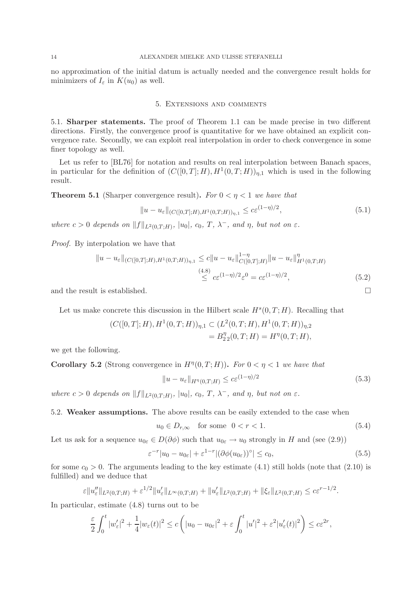no approximation of the initial datum is actually needed and the convergence result holds for minimizers of  $I_{\varepsilon}$  in  $K(u_0)$  as well.

# 5. Extensions and comments

5.1. Sharper statements. The proof of Theorem 1.1 can be made precise in two different directions. Firstly, the convergence proof is quantitative for we have obtained an explicit convergence rate. Secondly, we can exploit real interpolation in order to check convergence in some finer topology as well.

Let us refer to [BL76] for notation and results on real interpolation between Banach spaces, in particular for the definition of  $(C([0,T];H),H^1(0,T;H))_{\eta,1}$  which is used in the following result.

**Theorem 5.1** (Sharper convergence result). *For*  $0 < \eta < 1$  *we have that* 

$$
||u - u_{\varepsilon}||_{(C([0,T];H),H^1(0,T;H))_{\eta,1}} \leq c\varepsilon^{(1-\eta)/2},
$$
\n(5.1)

*where*  $c > 0$  *depends on*  $||f||_{L^2(0,T;H)}$ ,  $|u_0|$ ,  $c_0$ ,  $T$ ,  $\lambda^-$ , and  $\eta$ , but not on  $\varepsilon$ .

*Proof.* By interpolation we have that

$$
||u - u_{\varepsilon}||_{(C([0,T];H),H^1(0,T;H))_{\eta,1}} \leq c||u - u_{\varepsilon}||_{C([0,T];H)}^{1-\eta} ||u - u_{\varepsilon}||_{H^1(0,T;H)}^{\eta}
$$
  
\n
$$
\leq c\varepsilon^{(1-\eta)/2}\varepsilon^{0} = c\varepsilon^{(1-\eta)/2},
$$
\n(5.2)

and the result is established.  $\Box$ 

Let us make concrete this discussion in the Hilbert scale  $H<sup>s</sup>(0,T;H)$ . Recalling that

$$
(C([0,T];H),H1(0,T;H))_{\eta,1} \subset (L2(0,T;H),H1(0,T;H))_{\eta,2}
$$
  
=  $B_{22}^{\eta}(0,T;H) = H^{\eta}(0,T;H),$ 

we get the following.

**Corollary 5.2** (Strong convergence in  $H^{\eta}(0,T;H)$ ). For  $0 < \eta < 1$  we have that

$$
||u - u_{\varepsilon}||_{H^{\eta}(0,T;H)} \leq c\varepsilon^{(1-\eta)/2}
$$
\n(5.3)

*where*  $c > 0$  *depends on*  $||f||_{L^2(0,T;H)}$ ,  $|u_0|$ ,  $c_0$ ,  $T$ ,  $\lambda^-$ , and  $\eta$ , but not on  $\varepsilon$ .

5.2. Weaker assumptions. The above results can be easily extended to the case when

$$
u_0 \in D_{r,\infty} \quad \text{for some} \quad 0 < r < 1. \tag{5.4}
$$

Let us ask for a sequence  $u_{0\varepsilon} \in D(\partial \phi)$  such that  $u_{0\varepsilon} \to u_0$  strongly in H and (see (2.9))

$$
\varepsilon^{-r}|u_0 - u_{0\varepsilon}| + \varepsilon^{1-r}|(\partial \phi(u_{0\varepsilon}))^{\circ}| \le c_0,
$$
\n(5.5)

for some  $c_0 > 0$ . The arguments leading to the key estimate (4.1) still holds (note that (2.10) is fulfilled) and we deduce that

$$
\varepsilon \|u''_{\varepsilon}\|_{L^{2}(0,T;H)} + \varepsilon^{1/2} \|u'_{\varepsilon}\|_{L^{\infty}(0,T;H)} + \|u'_{\varepsilon}\|_{L^{2}(0,T;H)} + \|\xi_{\varepsilon}\|_{L^{2}(0,T;H)} \leq c\varepsilon^{r-1/2}.
$$

In particular, estimate (4.8) turns out to be

$$
\frac{\varepsilon}{2} \int_0^t |w_{\varepsilon}'|^2 + \frac{1}{4} |w_{\varepsilon}(t)|^2 \le c \left( |u_0 - u_{0\varepsilon}|^2 + \varepsilon \int_0^t |u'|^2 + \varepsilon^2 |u_{\varepsilon}'(t)|^2 \right) \le c\varepsilon^{2r},
$$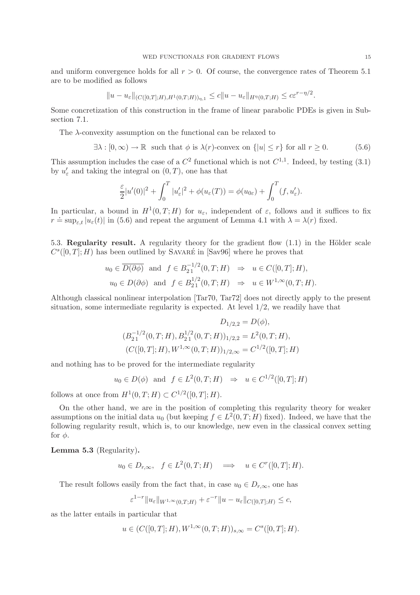and uniform convergence holds for all  $r > 0$ . Of course, the convergence rates of Theorem 5.1 are to be modified as follows

$$
||u - u_{\varepsilon}||_{(C([0,T];H),H^1(0,T;H))_{\eta,1}} \leq c||u - u_{\varepsilon}||_{H^{\eta}(0,T;H)} \leq c\varepsilon^{r-\eta/2}.
$$

Some concretization of this construction in the frame of linear parabolic PDEs is given in Subsection 7.1.

The λ-convexity assumption on the functional can be relaxed to

$$
\exists \lambda : [0, \infty) \to \mathbb{R} \text{ such that } \phi \text{ is } \lambda(r) \text{-convex on } \{|u| \le r\} \text{ for all } r \ge 0. \tag{5.6}
$$

This assumption includes the case of a  $C^2$  functional which is not  $C^{1,1}$ . Indeed, by testing (3.1) by  $u'_{\varepsilon}$  and taking the integral on  $(0,T)$ , one has that

$$
\frac{\varepsilon}{2}|u'(0)|^2 + \int_0^T |u_{\varepsilon}'|^2 + \phi(u_{\varepsilon}(T)) = \phi(u_{0\varepsilon}) + \int_0^T (f, u_{\varepsilon}').
$$

In particular, a bound in  $H^1(0,T;H)$  for  $u_{\varepsilon}$ , independent of  $\varepsilon$ , follows and it suffices to fix  $r \doteq \sup_{\varepsilon,t} |u_{\varepsilon}(t)|$  in (5.6) and repeat the argument of Lemma 4.1 with  $\lambda = \lambda(r)$  fixed.

5.3. Regularity result. A regularity theory for the gradient flow  $(1.1)$  in the Hölder scale  $C<sup>s</sup>(0,T]; H$ ) has been outlined by SAVARÉ in [Sav96] where he proves that

$$
u_0 \in \overline{D(\partial \phi)}
$$
 and  $f \in B_{21}^{-1/2}(0,T;H) \Rightarrow u \in C([0,T];H),$   
\n $u_0 \in D(\partial \phi)$  and  $f \in B_{21}^{1/2}(0,T;H) \Rightarrow u \in W^{1,\infty}(0,T;H).$ 

Although classical nonlinear interpolation [Tar70, Tar72] does not directly apply to the present situation, some intermediate regularity is expected. At level 1/2, we readily have that

$$
D_{1/2,2} = D(\phi),
$$
  
\n
$$
(B_{21}^{-1/2}(0,T;H), B_{21}^{1/2}(0,T;H))_{1/2,2} = L^2(0,T;H),
$$
  
\n
$$
(C([0,T];H), W^{1,\infty}(0,T;H))_{1/2,\infty} = C^{1/2}([0,T];H)
$$

and nothing has to be proved for the intermediate regularity

$$
u_0 \in D(\phi)
$$
 and  $f \in L^2(0,T;H) \Rightarrow u \in C^{1/2}([0,T];H)$ 

follows at once from  $H^1(0,T;H) \subset C^{1/2}([0,T];H)$ .

On the other hand, we are in the position of completing this regularity theory for weaker assumptions on the initial data  $u_0$  (but keeping  $f \in L^2(0,T;H)$  fixed). Indeed, we have that the following regularity result, which is, to our knowledge, new even in the classical convex setting for  $\phi$ .

Lemma 5.3 (Regularity).

$$
u_0 \in D_{r,\infty}
$$
,  $f \in L^2(0,T;H)$   $\implies$   $u \in C^r([0,T];H)$ .

The result follows easily from the fact that, in case  $u_0 \in D_{r,\infty}$ , one has

$$
\varepsilon^{1-r} \|u_{\varepsilon}\|_{W^{1,\infty}(0,T;H)} + \varepsilon^{-r} \|u - u_{\varepsilon}\|_{C([0,T];H)} \leq c,
$$

as the latter entails in particular that

$$
u \in (C([0,T];H), W^{1,\infty}(0,T;H))_{s,\infty} = C^{s}([0,T];H).
$$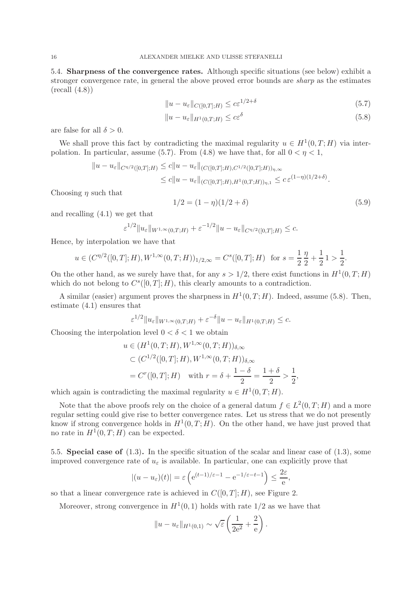5.4. Sharpness of the convergence rates. Although specific situations (see below) exhibit a stronger convergence rate, in general the above proved error bounds are *sharp* as the estimates  $(recall (4.8))$ 

$$
||u - u_{\varepsilon}||_{C([0,T];H)} \le c\varepsilon^{1/2 + \delta}
$$
\n(5.7)

$$
||u - u_{\varepsilon}||_{H^1(0,T;H)} \leq c\varepsilon^{\delta} \tag{5.8}
$$

are false for all  $\delta > 0$ .

We shall prove this fact by contradicting the maximal regularity  $u \in H^1(0,T;H)$  via interpolation. In particular, assume (5.7). From (4.8) we have that, for all  $0 < \eta < 1$ ,

$$
||u - u_{\varepsilon}||_{C^{\eta/2}([0,T];H)} \leq c||u - u_{\varepsilon}||_{(C([0,T];H),C^{1/2}([0,T];H))_{\eta,\infty}}
$$
  

$$
\leq c||u - u_{\varepsilon}||_{(C([0,T];H),H^1(0,T;H))_{\eta,1}} \leq c \, \varepsilon^{(1-\eta)(1/2+\delta)}.
$$

Choosing  $\eta$  such that

$$
1/2 = (1 - \eta)(1/2 + \delta) \tag{5.9}
$$

and recalling (4.1) we get that

$$
\varepsilon^{1/2} \|u_{\varepsilon}\|_{W^{1,\infty}(0,T;H)} + \varepsilon^{-1/2} \|u - u_{\varepsilon}\|_{C^{\eta/2}([0,T];H)} \leq c.
$$

Hence, by interpolation we have that

$$
u \in (C^{\eta/2}([0,T];H), W^{1,\infty}(0,T;H))_{1/2,\infty} = C^s([0,T];H)
$$
 for  $s = \frac{1}{2} \frac{\eta}{2} + \frac{1}{2} \frac{1}{2} > \frac{1}{2}$ .

On the other hand, as we surely have that, for any  $s > 1/2$ , there exist functions in  $H^1(0,T;H)$ which do not belong to  $C<sup>s</sup>(0,T;H)$ , this clearly amounts to a contradiction.

A similar (easier) argument proves the sharpness in  $H^1(0,T;H)$ . Indeed, assume (5.8). Then, estimate (4.1) ensures that

$$
\varepsilon^{1/2} \|u_{\varepsilon}\|_{W^{1,\infty}(0,T;H)} + \varepsilon^{-\delta} \|u - u_{\varepsilon}\|_{H^1(0,T;H)} \leq c.
$$

Choosing the interpolation level  $0 < \delta < 1$  we obtain

$$
u \in (H^1(0, T; H), W^{1, \infty}(0, T; H))_{\delta, \infty}
$$
  
\n
$$
\subset (C^{1/2}([0, T]; H), W^{1, \infty}(0, T; H))_{\delta, \infty}
$$
  
\n
$$
= C^r([0, T]; H) \text{ with } r = \delta + \frac{1 - \delta}{2} = \frac{1 + \delta}{2} > \frac{1}{2},
$$

which again is contradicting the maximal regularity  $u \in H^1(0,T;H)$ .

Note that the above proofs rely on the choice of a general datum  $f \in L^2(0,T;H)$  and a more regular setting could give rise to better convergence rates. Let us stress that we do not presently know if strong convergence holds in  $H^1(0,T;H)$ . On the other hand, we have just proved that no rate in  $H^1(0,T;H)$  can be expected.

5.5. Special case of (1.3). In the specific situation of the scalar and linear case of (1.3), some improved convergence rate of  $u_{\varepsilon}$  is available. In particular, one can explicitly prove that

$$
|(u - u_{\varepsilon})(t)| = \varepsilon \left( e^{(t-1)/\varepsilon - 1} - e^{-1/\varepsilon - t - 1} \right) \le \frac{2\varepsilon}{e},
$$

so that a linear convergence rate is achieved in  $C([0,T]; H)$ , see Figure 2.

Moreover, strong convergence in  $H^1(0,1)$  holds with rate  $1/2$  as we have that

$$
||u - u_{\varepsilon}||_{H^1(0,1)} \sim \sqrt{\varepsilon} \left( \frac{1}{2e^2} + \frac{2}{e} \right).
$$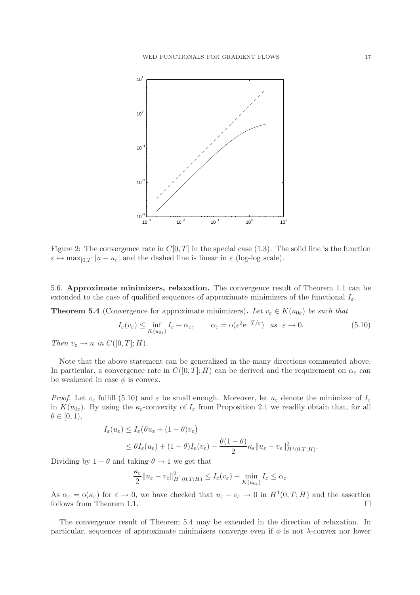

Figure 2: The convergence rate in  $C[0,T]$  in the special case (1.3). The solid line is the function  $\varepsilon \mapsto \max_{[0,T]} |u - u_{\varepsilon}|$  and the dashed line is linear in  $\varepsilon$  (log-log scale).

5.6. Approximate minimizers, relaxation. The convergence result of Theorem 1.1 can be extended to the case of qualified sequences of approximate minimizers of the functional  $I_{\varepsilon}$ .

**Theorem 5.4** (Convergence for approximate minimizers). Let  $v_{\varepsilon} \in K(u_{0\varepsilon})$  be such that

$$
I_{\varepsilon}(v_{\varepsilon}) \le \inf_{K(u_{0\varepsilon})} I_{\varepsilon} + \alpha_{\varepsilon}, \qquad \alpha_{\varepsilon} = o(\varepsilon^2 e^{-T/\varepsilon}) \quad \text{as} \quad \varepsilon \to 0. \tag{5.10}
$$

*Then*  $v_{\varepsilon} \to u$  *in*  $C([0,T];H)$ *.* 

Note that the above statement can be generalized in the many directions commented above. In particular, a convergence rate in  $C([0,T]; H)$  can be derived and the requirement on  $\alpha_{\varepsilon}$  can be weakened in case  $\phi$  is convex.

*Proof.* Let  $v_{\varepsilon}$  fulfill (5.10) and  $\varepsilon$  be small enough. Moreover, let  $u_{\varepsilon}$  denote the minimizer of  $I_{\varepsilon}$ in  $K(u_{0\varepsilon})$ . By using the  $\kappa_{\varepsilon}$ -convexity of  $I_{\varepsilon}$  from Proposition 2.1 we readily obtain that, for all  $\theta \in [0, 1),$ 

$$
I_{\varepsilon}(u_{\varepsilon}) \leq I_{\varepsilon}(\theta u_{\varepsilon} + (1 - \theta)v_{\varepsilon})
$$
  
 
$$
\leq \theta I_{\varepsilon}(u_{\varepsilon}) + (1 - \theta)I_{\varepsilon}(v_{\varepsilon}) - \frac{\theta(1 - \theta)}{2} \kappa_{\varepsilon} || u_{\varepsilon} - v_{\varepsilon} ||_{H^{1}(0, T; H)}^{2}.
$$

Dividing by  $1 - \theta$  and taking  $\theta \rightarrow 1$  we get that

$$
\frac{\kappa_{\varepsilon}}{2} \| u_{\varepsilon} - v_{\varepsilon} \|_{H^1(0,T;H)}^2 \leq I_{\varepsilon}(v_{\varepsilon}) - \min_{K(u_{0\varepsilon})} I_{\varepsilon} \leq \alpha_{\varepsilon}.
$$

As  $\alpha_{\varepsilon} = o(\kappa_{\varepsilon})$  for  $\varepsilon \to 0$ , we have checked that  $u_{\varepsilon} - v_{\varepsilon} \to 0$  in  $H^1(0,T;H)$  and the assertion follows from Theorem 1.1.

The convergence result of Theorem 5.4 may be extended in the direction of relaxation. In particular, sequences of approximate minimizers converge even if  $\phi$  is not  $\lambda$ -convex nor lower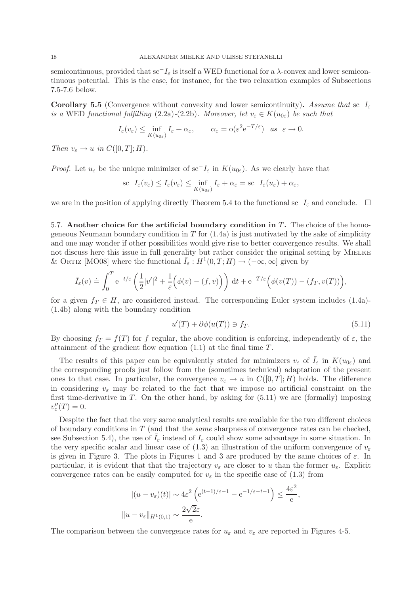semicontinuous, provided that  $\mathrm{sc}^-I_\varepsilon$  is itself a WED functional for a  $\lambda$ -convex and lower semicontinuous potential. This is the case, for instance, for the two relaxation examples of Subsections 7.5-7.6 below.

Corollary 5.5 (Convergence without convexity and lower semicontinuity). *Assume that* sc−I<sup>ε</sup> *is a* WED *functional fulfilling* (2.2a)-(2.2b)*. Moreover, let*  $v_{\varepsilon} \in K(u_{0\varepsilon})$  *be such that* 

$$
I_{\varepsilon}(v_{\varepsilon}) \le \inf_{K(u_{0\varepsilon})} I_{\varepsilon} + \alpha_{\varepsilon}, \qquad \alpha_{\varepsilon} = o(\varepsilon^2 e^{-T/\varepsilon}) \quad as \ \ \varepsilon \to 0.
$$

*Then*  $v_{\varepsilon} \to u$  *in*  $C([0,T];H)$ *.* 

*Proof.* Let  $u_{\varepsilon}$  be the unique minimizer of sc<sup>-</sup>I<sub>ε</sub> in  $K(u_{0\varepsilon})$ . As we clearly have that

$$
\mathrm{sc}^{-}I_{\varepsilon}(v_{\varepsilon}) \leq I_{\varepsilon}(v_{\varepsilon}) \leq \inf_{K(u_{0\varepsilon})} I_{\varepsilon} + \alpha_{\varepsilon} = \mathrm{sc}^{-}I_{\varepsilon}(u_{\varepsilon}) + \alpha_{\varepsilon},
$$

we are in the position of applying directly Theorem 5.4 to the functional sc<sup>−</sup>I<sub>ε</sub> and conclude.  $\Box$ 

5.7. Another choice for the artificial boundary condition in  $T$ . The choice of the homogeneous Neumann boundary condition in  $T$  for  $(1.4a)$  is just motivated by the sake of simplicity and one may wonder if other possibilities would give rise to better convergence results. We shall not discuss here this issue in full generality but rather consider the original setting by MIELKE & ORTIZ [MO08] where the functional  $\bar{I}_{\varepsilon}: H^1(0,T;H) \to (-\infty,\infty]$  given by

$$
\bar{I}_{\varepsilon}(v) \doteq \int_0^T e^{-t/\varepsilon} \left( \frac{1}{2} |v'|^2 + \frac{1}{\varepsilon} \Big( \phi(v) - (f, v) \Big) \right) dt + e^{-T/\varepsilon} \Big( \phi(v(T)) - (f_T, v(T)) \Big),
$$

for a given  $f_T \in H$ , are considered instead. The corresponding Euler system includes (1.4a)-(1.4b) along with the boundary condition

$$
u'(T) + \partial \phi(u(T)) \ni f_T. \tag{5.11}
$$

By choosing  $f_T = f(T)$  for f regular, the above condition is enforcing, independently of  $\varepsilon$ , the attainment of the gradient flow equation  $(1.1)$  at the final time T.

The results of this paper can be equivalently stated for minimizers  $v_{\varepsilon}$  of  $I_{\varepsilon}$  in  $K(u_{0\varepsilon})$  and the corresponding proofs just follow from the (sometimes technical) adaptation of the present ones to that case. In particular, the convergence  $v_{\varepsilon} \to u$  in  $C([0,T]; H)$  holds. The difference in considering  $v_{\varepsilon}$  may be related to the fact that we impose no artificial constraint on the first time-derivative in  $T$ . On the other hand, by asking for  $(5.11)$  we are (formally) imposing  $v''_{\varepsilon}(T)=0.$ 

Despite the fact that the very same analytical results are available for the two different choices of boundary conditions in T (and that the *same* sharpness of convergence rates can be checked, see Subsection 5.4), the use of  $I_{\varepsilon}$  instead of  $I_{\varepsilon}$  could show some advantage in some situation. In the very specific scalar and linear case of (1.3) an illustration of the uniform convergence of  $v_{\varepsilon}$ is given in Figure 3. The plots in Figures 1 and 3 are produced by the same choices of  $\varepsilon$ . In particular, it is evident that that the trajectory  $v_{\varepsilon}$  are closer to u than the former  $u_{\varepsilon}$ . Explicit convergence rates can be easily computed for  $v_{\varepsilon}$  in the specific case of (1.3) from

$$
|(u - v_{\varepsilon})(t)| \sim 4\varepsilon^2 \left( e^{(t-1)/\varepsilon - 1} - e^{-1/\varepsilon - t - 1} \right) \le \frac{4\varepsilon^2}{e},
$$
  

$$
||u - v_{\varepsilon}||_{H^1(0,1)} \sim \frac{2\sqrt{2}\varepsilon}{e}.
$$

The comparison between the convergence rates for  $u_{\varepsilon}$  and  $v_{\varepsilon}$  are reported in Figures 4-5.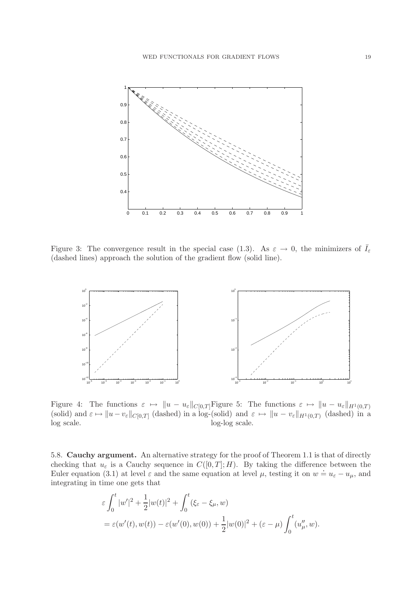

Figure 3: The convergence result in the special case (1.3). As  $\varepsilon \to 0$ , the minimizers of  $\overline{I}_{\varepsilon}$ (dashed lines) approach the solution of the gradient flow (solid line).



Figure 4: The functions  $\varepsilon \mapsto \|u - u_{\varepsilon}\|_{C[0,T]}$  Figure 5: The functions  $\varepsilon \mapsto \|u - u_{\varepsilon}\|_{H^1(0,T)}$ (solid) and  $\varepsilon \mapsto \|u - v_{\varepsilon}\|_{C[0,T]}$  (dashed) in a log-(solid) and  $\varepsilon \mapsto \|u - v_{\varepsilon}\|_{H^1(0,T)}$  (dashed) in a log scale. log-log scale.

5.8. Cauchy argument. An alternative strategy for the proof of Theorem 1.1 is that of directly checking that  $u_{\varepsilon}$  is a Cauchy sequence in  $C([0,T]; H)$ . By taking the difference between the Euler equation (3.1) at level  $\varepsilon$  and the same equation at level  $\mu$ , testing it on  $w = u_{\varepsilon} - u_{\mu}$ , and integrating in time one gets that

$$
\varepsilon \int_0^t |w'|^2 + \frac{1}{2}|w(t)|^2 + \int_0^t (\xi_{\varepsilon} - \xi_{\mu}, w) \n= \varepsilon(w'(t), w(t)) - \varepsilon(w'(0), w(0)) + \frac{1}{2}|w(0)|^2 + (\varepsilon - \mu) \int_0^t (u''_{\mu}, w).
$$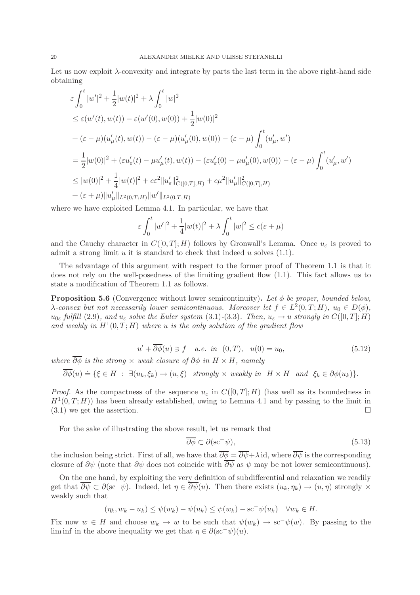Let us now exploit  $\lambda$ -convexity and integrate by parts the last term in the above right-hand side obtaining

$$
\varepsilon \int_0^t |w'|^2 + \frac{1}{2}|w(t)|^2 + \lambda \int_0^t |w|^2
$$
  
\n
$$
\leq \varepsilon (w'(t), w(t)) - \varepsilon (w'(0), w(0)) + \frac{1}{2}|w(0)|^2
$$
  
\n
$$
+ (\varepsilon - \mu)(u'_\mu(t), w(t)) - (\varepsilon - \mu)(u'_\mu(0), w(0)) - (\varepsilon - \mu) \int_0^t (u'_\mu, w')
$$
  
\n
$$
= \frac{1}{2}|w(0)|^2 + (\varepsilon u'_\varepsilon(t) - \mu u'_\mu(t), w(t)) - (\varepsilon u'_\varepsilon(0) - \mu u'_\mu(0), w(0)) - (\varepsilon - \mu) \int_0^t (u'_\mu, w')
$$
  
\n
$$
\leq |w(0)|^2 + \frac{1}{4}|w(t)|^2 + c\varepsilon^2 ||u'_\varepsilon||^2_{C([0,T],H)} + c\mu^2 ||u'_\mu||^2_{C([0,T],H)}
$$
  
\n
$$
+ (\varepsilon + \mu) ||u'_\mu||_{L^2(0,T;H)} ||w'||_{L^2(0,T;H)}
$$

where we have exploited Lemma 4.1. In particular, we have that

$$
\varepsilon \int_0^t |w'|^2 + \frac{1}{4}|w(t)|^2 + \lambda \int_0^t |w|^2 \le c(\varepsilon + \mu)
$$

and the Cauchy character in  $C([0,T]; H)$  follows by Gronwall's Lemma. Once  $u_{\varepsilon}$  is proved to admit a strong limit  $u$  it is standard to check that indeed  $u$  solves  $(1.1)$ .

The advantage of this argument with respect to the former proof of Theorem 1.1 is that it does not rely on the well-posedness of the limiting gradient flow (1.1). This fact allows us to state a modification of Theorem 1.1 as follows.

**Proposition 5.6** (Convergence without lower semicontinuity). Let  $\phi$  be proper, bounded below,  $\lambda$ -convex but not necessarily lower semicontinuous. Moreover let  $f \in L^2(0,T;H)$ ,  $u_0 \in D(\phi)$ ,  $u_{0\varepsilon}$  *fulfill* (2.9), and  $u_{\varepsilon}$  *solve the Euler system* (3.1)-(3.3). Then,  $u_{\varepsilon} \to u$  *strongly in*  $C([0,T];H)$ and weakly in  $H^1(0,T;H)$  where u is the only solution of the gradient flow

$$
u' + \overline{\partial \phi}(u) \ni f \quad a.e. \infty \quad (0, T), \quad u(0) = u_0,
$$
\n
$$
(5.12)
$$

*where*  $\overline{\partial \phi}$  *is the strong*  $\times$  *weak closure of*  $\partial \phi$  *in*  $H \times H$ *, namely* 

$$
\overline{\partial \phi}(u) \doteq \{ \xi \in H \; : \; \exists (u_k, \xi_k) \to (u, \xi) \; \text{ strongly} \times \text{ weakly in } H \times H \text{ and } \xi_k \in \partial \phi(u_k) \}.
$$

*Proof.* As the compactness of the sequence  $u_{\varepsilon}$  in  $C([0,T];H)$  (has well as its boundedness in  $H^1(0,T;H)$  has been already established, owing to Lemma 4.1 and by passing to the limit in  $(3.1)$  we get the assertion.

For the sake of illustrating the above result, let us remark that

$$
\overline{\partial \phi} \subset \partial(\text{sc}^{-}\psi),\tag{5.13}
$$

the inclusion being strict. First of all, we have that  $\overline{\partial \phi} = \overline{\partial \psi} + \lambda$  id, where  $\overline{\partial \psi}$  is the corresponding closure of  $\partial \psi$  (note that  $\partial \psi$  does not coincide with  $\overline{\partial \psi}$  as  $\psi$  may be not lower semicontinuous).

On the one hand, by exploiting the very definition of subdifferential and relaxation we readily get that  $\overline{\partial \psi} \subset \partial(\mathrm{sc}^-\psi)$ . Indeed, let  $\eta \in \overline{\partial \psi}(u)$ . Then there exists  $(u_k, \eta_k) \to (u, \eta)$  strongly  $\times$ weakly such that

$$
(\eta_k, w_k - u_k) \le \psi(w_k) - \psi(u_k) \le \psi(w_k) - \mathrm{sc}^{-1}\psi(u_k) \quad \forall w_k \in H.
$$

Fix now  $w \in H$  and choose  $w_k \to w$  to be such that  $\psi(w_k) \to \text{sc}^-\psi(w)$ . By passing to the lim inf in the above inequality we get that  $\eta \in \partial(\mathrm{sc}^{-} \psi)(u)$ .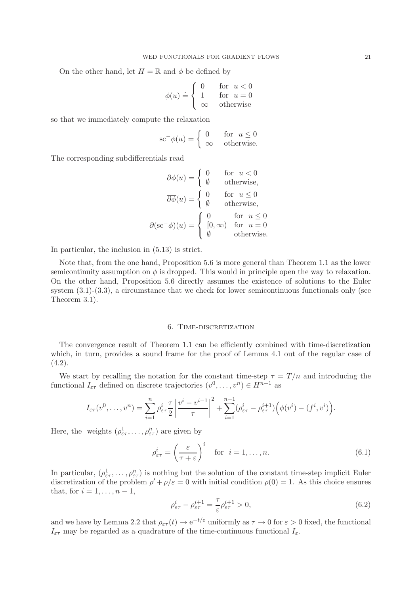On the other hand, let  $H = \mathbb{R}$  and  $\phi$  be defined by

$$
\phi(u) \doteq \begin{cases} 0 & \text{for } u < 0 \\ 1 & \text{for } u = 0 \\ \infty & \text{otherwise} \end{cases}
$$

so that we immediately compute the relaxation

$$
\mathrm{sc}^{-}\phi(u) = \begin{cases} 0 & \text{for } u \le 0\\ \infty & \text{otherwise.} \end{cases}
$$

The corresponding subdifferentials read

$$
\partial \phi(u) = \begin{cases}\n0 & \text{for } u < 0 \\
\emptyset & \text{otherwise,} \\
\overline{\partial \phi}(u) = \begin{cases}\n0 & \text{for } u \le 0 \\
\emptyset & \text{otherwise,} \\
\end{cases} \\
\partial (\sec^{-1} \phi)(u) = \begin{cases}\n0 & \text{for } u \le 0 \\
[0, \infty) & \text{for } u = 0 \\
\emptyset & \text{otherwise.} \n\end{cases}
$$

In particular, the inclusion in (5.13) is strict.

Note that, from the one hand, Proposition 5.6 is more general than Theorem 1.1 as the lower semicontinuity assumption on  $\phi$  is dropped. This would in principle open the way to relaxation. On the other hand, Proposition 5.6 directly assumes the existence of solutions to the Euler system  $(3.1)-(3.3)$ , a circumstance that we check for lower semicontinuous functionals only (see Theorem 3.1).

#### 6. TIME-DISCRETIZATION

The convergence result of Theorem 1.1 can be efficiently combined with time-discretization which, in turn, provides a sound frame for the proof of Lemma 4.1 out of the regular case of  $(4.2).$ 

We start by recalling the notation for the constant time-step  $\tau = T/n$  and introducing the functional  $I_{\varepsilon\tau}$  defined on discrete trajectories  $(v^0, \ldots, v^n) \in H^{n+1}$  as

$$
I_{\varepsilon\tau}(v^0,\ldots,v^n)=\sum_{i=1}^n\rho_{\varepsilon\tau}^i\frac{\tau}{2}\left|\frac{v^i-v^{i-1}}{\tau}\right|^2+\sum_{i=1}^{n-1}(\rho_{\varepsilon\tau}^i-\rho_{\varepsilon\tau}^{i+1})\Big(\phi(v^i)-(f^i,v^i)\Big).
$$

Here, the weights  $(\rho_{\varepsilon\tau}^1, \ldots, \rho_{\varepsilon\tau}^n)$  are given by

$$
\rho_{\varepsilon\tau}^i = \left(\frac{\varepsilon}{\tau + \varepsilon}\right)^i \quad \text{for} \quad i = 1, \dots, n. \tag{6.1}
$$

In particular,  $(\rho_{\varepsilon\tau}^1, \ldots, \rho_{\varepsilon\tau}^n)$  is nothing but the solution of the constant time-step implicit Euler discretization of the problem  $\rho' + \rho/\varepsilon = 0$  with initial condition  $\rho(0) = 1$ . As this choice ensures that, for  $i = 1, \ldots, n-1$ ,

$$
\rho_{\varepsilon\tau}^i - \rho_{\varepsilon\tau}^{i+1} = \frac{\tau}{\varepsilon} \rho_{\varepsilon\tau}^{i+1} > 0,\tag{6.2}
$$

and we have by Lemma 2.2 that  $\rho_{\varepsilon\tau}(t) \to e^{-t/\varepsilon}$  uniformly as  $\tau \to 0$  for  $\varepsilon > 0$  fixed, the functional  $I_{\varepsilon\tau}$  may be regarded as a quadrature of the time-continuous functional  $I_{\varepsilon}$ .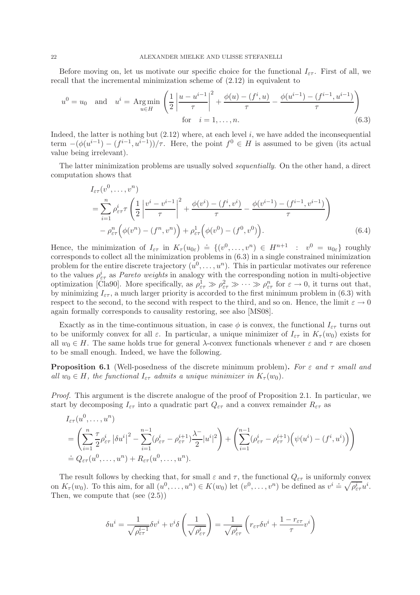Before moving on, let us motivate our specific choice for the functional  $I_{\varepsilon\tau}$ . First of all, we recall that the incremental minimization scheme of (2.12) in equivalent to

$$
u^{0} = u_{0} \text{ and } u^{i} = \operatorname{Arg\,min}_{u \in H} \left( \frac{1}{2} \left| \frac{u - u^{i-1}}{\tau} \right|^{2} + \frac{\phi(u) - (f^{i}, u)}{\tau} - \frac{\phi(u^{i-1}) - (f^{i-1}, u^{i-1})}{\tau} \right)
$$
  
for  $i = 1, ..., n$ . (6.3)

Indeed, the latter is nothing but  $(2.12)$  where, at each level i, we have added the inconsequential term  $-(\phi(u^{i-1}) - (f^{i-1}, u^{i-1}))/\tau$ . Here, the point  $f^0 \in H$  is assumed to be given (its actual value being irrelevant).

The latter minimization problems are usually solved *sequentially*. On the other hand, a direct computation shows that

$$
I_{\varepsilon\tau}(v^{0},...,v^{n})
$$
\n
$$
= \sum_{i=1}^{n} \rho_{\varepsilon\tau}^{i} \tau \left( \frac{1}{2} \left| \frac{v^{i} - v^{i-1}}{\tau} \right|^{2} + \frac{\phi(v^{i}) - (f^{i}, v^{i})}{\tau} - \frac{\phi(v^{i-1}) - (f^{i-1}, v^{i-1})}{\tau} \right)
$$
\n
$$
- \rho_{\varepsilon\tau}^{n} \left( \phi(v^{n}) - (f^{n}, v^{n}) \right) + \rho_{\varepsilon\tau}^{1} \left( \phi(v^{0}) - (f^{0}, v^{0}) \right).
$$
\n(6.4)

Hence, the minimization of  $I_{\varepsilon\tau}$  in  $K_{\tau}(u_{0\varepsilon}) = \{ (v^0, \ldots, v^n) \in H^{n+1} : v^0 = u_{0\varepsilon} \}$  roughly corresponds to collect all the minimization problems in (6.3) in a single constrained minimization problem for the entire discrete trajectory  $(u^0, \ldots, u^n)$ . This in particular motivates our reference to the values  $\rho_{\varepsilon\tau}^i$  as *Pareto weights* in analogy with the corresponding notion in multi-objective optimization [Cla90]. More specifically, as  $\rho_{\varepsilon\tau}^1 \gg \rho_{\varepsilon\tau}^2 \gg \cdots \gg \rho_{\varepsilon\tau}^n$  for  $\varepsilon \to 0$ , it turns out that, by minimizing  $I_{\epsilon\tau}$ , a much larger priority is accorded to the first minimum problem in (6.3) with respect to the second, to the second with respect to the third, and so on. Hence, the limit  $\varepsilon \to 0$ again formally corresponds to causality restoring, see also [MS08].

Exactly as in the time-continuous situation, in case  $\phi$  is convex, the functional  $I_{\varepsilon\tau}$  turns out to be uniformly convex for all  $\varepsilon$ . In particular, a unique minimizer of  $I_{\varepsilon\tau}$  in  $K_{\tau}(w_0)$  exists for all  $w_0 \in H$ . The same holds true for general  $\lambda$ -convex functionals whenever  $\varepsilon$  and  $\tau$  are chosen to be small enough. Indeed, we have the following.

Proposition 6.1 (Well-posedness of the discrete minimum problem). *For* ε *and* τ *small and all*  $w_0 \in H$ *, the functional*  $I_{\varepsilon\tau}$  *admits a unique minimizer in*  $K_{\tau}(w_0)$ *.* 

*Proof.* This argument is the discrete analogue of the proof of Proposition 2.1. In particular, we start by decomposing  $I_{\varepsilon\tau}$  into a quadratic part  $Q_{\varepsilon\tau}$  and a convex remainder  $R_{\varepsilon\tau}$  as

$$
I_{\varepsilon\tau}(u^0, \dots, u^n)
$$
  
=  $\left(\sum_{i=1}^n \frac{\tau}{2} \rho_{\varepsilon\tau}^i |\delta u^i|^2 - \sum_{i=1}^{n-1} (\rho_{\varepsilon\tau}^i - \rho_{\varepsilon\tau}^{i+1}) \frac{\lambda^-}{2} |u^i|^2 \right) + \left(\sum_{i=1}^{n-1} (\rho_{\varepsilon\tau}^i - \rho_{\varepsilon\tau}^{i+1}) \left(\psi(u^i) - (f^i, u^i)\right)\right)$   

$$
\doteq Q_{\varepsilon\tau}(u^0, \dots, u^n) + R_{\varepsilon\tau}(u^0, \dots, u^n).
$$

The result follows by checking that, for small  $\varepsilon$  and  $\tau$ , the functional  $Q_{\varepsilon\tau}$  is uniformly convex on  $K_{\tau}(w_0)$ . To this aim, for all  $(u^0, \ldots, u^n) \in K(w_0)$  let  $(v^0, \ldots, v^n)$  be defined as  $v^i \doteq \sqrt{\rho_{\varepsilon \tau}^i} u^i$ . Then, we compute that (see (2.5))

$$
\delta u^i = \frac{1}{\sqrt{\rho_{\varepsilon\tau}^{i-1}}} \delta v^i + v^i \delta \left( \frac{1}{\sqrt{\rho_{\varepsilon\tau}^i}} \right) = \frac{1}{\sqrt{\rho_{\varepsilon\tau}^i}} \left( r_{\varepsilon\tau} \delta v^i + \frac{1 - r_{\varepsilon\tau}}{\tau} v^i \right)
$$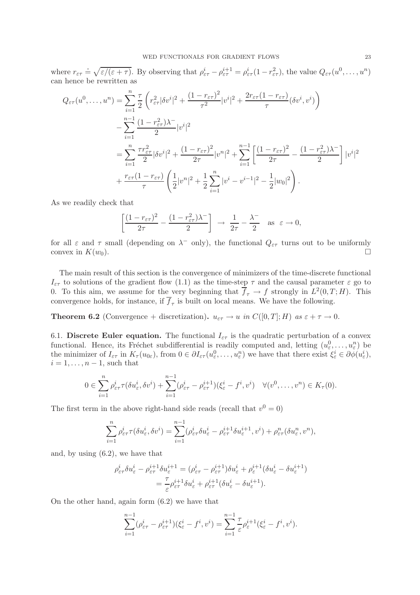where  $r_{\varepsilon\tau} = \sqrt{\varepsilon/(\varepsilon + \tau)}$ . By observing that  $\rho_{\varepsilon\tau}^i - \rho_{\varepsilon\tau}^{i+1} = \rho_{\varepsilon\tau}^i (1 - r_{\varepsilon\tau}^2)$ , the value  $Q_{\varepsilon\tau}(u^0, \ldots, u^n)$ can hence be rewritten as

$$
Q_{\varepsilon\tau}(u^0,\ldots,u^n) = \sum_{i=1}^n \frac{\tau}{2} \left( r_{\varepsilon\tau}^2 |\delta v^i|^2 + \frac{(1-r_{\varepsilon\tau})^2}{\tau^2} |v^i|^2 + \frac{2r_{\varepsilon\tau}(1-r_{\varepsilon\tau})}{\tau} (\delta v^i, v^i) \right)
$$
  
 
$$
- \sum_{i=1}^{n-1} \frac{(1-r_{\varepsilon\tau}^2)\lambda^-}{2} |v^i|^2
$$
  
 
$$
= \sum_{i=1}^n \frac{\tau r_{\varepsilon\tau}^2}{2} |\delta v^i|^2 + \frac{(1-r_{\varepsilon\tau})^2}{2\tau} |v^n|^2 + \sum_{i=1}^{n-1} \left[ \frac{(1-r_{\varepsilon\tau})^2}{2\tau} - \frac{(1-r_{\varepsilon\tau}^2)\lambda^-}{2} \right] |v^i|^2
$$
  
 
$$
+ \frac{r_{\varepsilon\tau}(1-r_{\varepsilon\tau})}{\tau} \left( \frac{1}{2} |v^n|^2 + \frac{1}{2} \sum_{i=1}^n |v^i - v^{i-1}|^2 - \frac{1}{2} |w_0|^2 \right).
$$

As we readily check that

$$
\left[\frac{(1-r_{\varepsilon\tau})^2}{2\tau} - \frac{(1-r_{\varepsilon\tau}^2)\lambda^-}{2}\right] \rightarrow \frac{1}{2\tau} - \frac{\lambda^-}{2} \text{ as } \varepsilon \to 0,
$$

for all  $\varepsilon$  and  $\tau$  small (depending on  $\lambda^-$  only), the functional  $Q_{\varepsilon\tau}$  turns out to be uniformly convex in  $K(w_0)$ .

The main result of this section is the convergence of minimizers of the time-discrete functional  $I_{\epsilon\tau}$  to solutions of the gradient flow (1.1) as the time-step  $\tau$  and the causal parameter  $\epsilon$  go to 0. To this aim, we assume for the very beginning that  $\overline{f}_{\tau} \to f$  strongly in  $L^2(0,T;H)$ . This convergence holds, for instance, if  $f_{\tau}$  is built on local means. We have the following.

**Theorem 6.2** (Convergence + discretization).  $u_{\varepsilon\tau} \to u$  *in*  $C([0,T];H)$  *as*  $\varepsilon + \tau \to 0$ *.* 

6.1. Discrete Euler equation. The functional  $I_{\epsilon\tau}$  is the quadratic perturbation of a convex functional. Hence, its Fréchet subdifferential is readily computed and, letting  $(u_{\varepsilon}^0, \ldots, u_{\varepsilon}^n)$  be the minimizer of  $I_{\varepsilon\tau}$  in  $K_{\tau}(u_{0\varepsilon})$ , from  $0 \in \partial I_{\varepsilon\tau}(u_{\varepsilon}^0,\ldots,u_{\varepsilon}^n)$  we have that there exist  $\xi_{\varepsilon}^i \in \partial \phi(u_{\varepsilon}^i),$  $i = 1, \ldots, n-1$ , such that

$$
0\in \sum_{i=1}^n \rho_{\varepsilon\tau}^i \tau(\delta u_{\varepsilon}^i, \delta v^i) + \sum_{i=1}^{n-1} (\rho_{\varepsilon\tau}^i - \rho_{\varepsilon\tau}^{i+1})(\xi_{\varepsilon}^i - f^i, v^i) \quad \forall (v^0, \dots, v^n) \in K_\tau(0).
$$

The first term in the above right-hand side reads (recall that  $v^0 = 0$ )

$$
\sum_{i=1}^n \rho_{\varepsilon\tau}^i \tau(\delta u_\varepsilon^i, \delta v^i) = \sum_{i=1}^{n-1} (\rho_{\varepsilon\tau}^i \delta u_\varepsilon^i - \rho_{\varepsilon\tau}^{i+1} \delta u_\varepsilon^{i+1}, v^i) + \rho_{\varepsilon\tau}^n(\delta u_\varepsilon^n, v^n),
$$

and, by using (6.2), we have that

$$
\rho_{\varepsilon\tau}^i \delta u_{\varepsilon}^i - \rho_{\varepsilon\tau}^{i+1} \delta u_{\varepsilon}^{i+1} = (\rho_{\varepsilon\tau}^i - \rho_{\varepsilon\tau}^{i+1}) \delta u_{\varepsilon}^i + \rho_{\varepsilon}^{i+1} (\delta u_{\varepsilon}^i - \delta u_{\varepsilon}^{i+1})
$$
  
= 
$$
\frac{\tau}{\varepsilon} \rho_{\varepsilon\tau}^{i+1} \delta u_{\varepsilon}^i + \rho_{\varepsilon\tau}^{i+1} (\delta u_{\varepsilon}^i - \delta u_{\varepsilon}^{i+1}).
$$

On the other hand, again form (6.2) we have that

$$
\sum_{i=1}^{n-1} (\rho_{\varepsilon\tau}^i - \rho_{\varepsilon\tau}^{i+1})(\xi_{\varepsilon}^i - f^i, v^i) = \sum_{i=1}^{n-1} \frac{\tau}{\varepsilon} \rho_{\varepsilon}^{i+1}(\xi_{\varepsilon}^i - f^i, v^i).
$$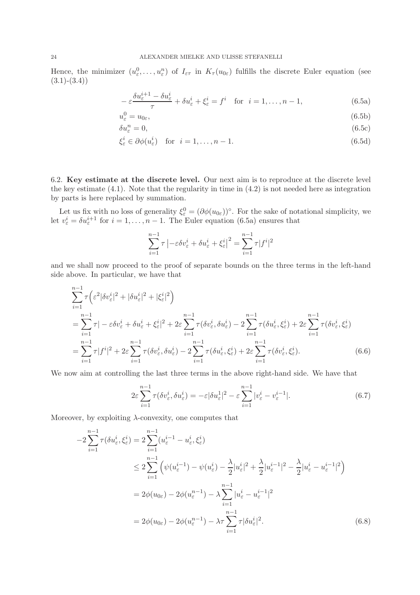Hence, the minimizer  $(u_\varepsilon^0,\ldots,u_\varepsilon^n)$  of  $I_{\varepsilon\tau}$  in  $K_\tau(u_{0\varepsilon})$  fulfills the discrete Euler equation (see  $(3.1)-(3.4)$ 

$$
-\varepsilon \frac{\delta u_{\varepsilon}^{i+1} - \delta u_{\varepsilon}^i}{\tau} + \delta u_{\varepsilon}^i + \xi_{\varepsilon}^i = f^i \quad \text{for} \quad i = 1, \dots, n-1,
$$
 (6.5a)

$$
u_{\varepsilon}^{0} = u_{0\varepsilon},\tag{6.5b}
$$

$$
\delta u_{\varepsilon}^{n} = 0, \tag{6.5c}
$$

$$
\xi_{\varepsilon}^{i} \in \partial \phi(u_{\varepsilon}^{i}) \quad \text{for} \quad i = 1, \dots, n - 1. \tag{6.5d}
$$

6.2. Key estimate at the discrete level. Our next aim is to reproduce at the discrete level the key estimate (4.1). Note that the regularity in time in (4.2) is not needed here as integration by parts is here replaced by summation.

Let us fix with no loss of generality  $\xi_{\varepsilon}^{0} = (\partial \phi(u_{0\varepsilon}))^{\circ}$ . For the sake of notational simplicity, we let  $v_{\varepsilon}^{i} = \delta u_{\varepsilon}^{i+1}$  for  $i = 1, ..., n-1$ . The Euler equation (6.5a) ensures that

$$
\sum_{i=1}^{n-1} \tau \left| -\varepsilon \delta v_{\varepsilon}^i + \delta u_{\varepsilon}^i + \xi_{\varepsilon}^i \right|^2 = \sum_{i=1}^{n-1} \tau |f^i|^2
$$

and we shall now proceed to the proof of separate bounds on the three terms in the left-hand side above. In particular, we have that

$$
\sum_{i=1}^{n-1} \tau \left( \varepsilon^2 |\delta v_{\varepsilon}^i|^2 + |\delta u_{\varepsilon}^i|^2 + |\xi_{\varepsilon}^i|^2 \right)
$$
\n
$$
= \sum_{i=1}^{n-1} \tau | - \varepsilon \delta v_{\varepsilon}^i + \delta u_{\varepsilon}^i + \xi_{\varepsilon}^i |^2 + 2\varepsilon \sum_{i=1}^{n-1} \tau (\delta v_{\varepsilon}^i, \delta u_{\varepsilon}^i) - 2 \sum_{i=1}^{n-1} \tau (\delta u_{\varepsilon}^i, \xi_{\varepsilon}^i) + 2\varepsilon \sum_{i=1}^{n-1} \tau (\delta v_{\varepsilon}^i, \xi_{\varepsilon}^i)
$$
\n
$$
= \sum_{i=1}^{n-1} \tau |f^i|^2 + 2\varepsilon \sum_{i=1}^{n-1} \tau (\delta v_{\varepsilon}^i, \delta u_{\varepsilon}^i) - 2 \sum_{i=1}^{n-1} \tau (\delta u_{\varepsilon}^i, \xi_{\varepsilon}^i) + 2\varepsilon \sum_{i=1}^{n-1} \tau (\delta v_{\varepsilon}^i, \xi_{\varepsilon}^i).
$$
\n(6.6)

We now aim at controlling the last three terms in the above right-hand side. We have that

$$
2\varepsilon \sum_{i=1}^{n-1} \tau(\delta v_{\varepsilon}^i, \delta u_{\varepsilon}^i) = -\varepsilon |\delta u_{\varepsilon}^1|^2 - \varepsilon \sum_{i=1}^{n-1} |v_{\varepsilon}^i - v_{\varepsilon}^{i-1}|. \tag{6.7}
$$

Moreover, by exploiting  $\lambda$ -convexity, one computes that

$$
-2\sum_{i=1}^{n-1} \tau(\delta u_{\varepsilon}^{i}, \xi_{\varepsilon}^{i}) = 2\sum_{i=1}^{n-1} (u_{\varepsilon}^{i-1} - u_{\varepsilon}^{i}, \xi_{\varepsilon}^{i})
$$
  
\n
$$
\leq 2\sum_{i=1}^{n-1} \left( \psi(u_{\varepsilon}^{i-1}) - \psi(u_{\varepsilon}^{i}) - \frac{\lambda}{2} |u_{\varepsilon}^{i}|^{2} + \frac{\lambda}{2} |u_{\varepsilon}^{i-1}|^{2} - \frac{\lambda}{2} |u_{\varepsilon}^{i} - u_{\varepsilon}^{i-1}|^{2} \right)
$$
  
\n
$$
= 2\phi(u_{0\varepsilon}) - 2\phi(u_{\varepsilon}^{n-1}) - \lambda \sum_{i=1}^{n-1} |u_{\varepsilon}^{i} - u_{\varepsilon}^{i-1}|^{2}
$$
  
\n
$$
= 2\phi(u_{0\varepsilon}) - 2\phi(u_{\varepsilon}^{n-1}) - \lambda \sum_{i=1}^{n-1} \tau |\delta u_{\varepsilon}^{i}|^{2}.
$$
 (6.8)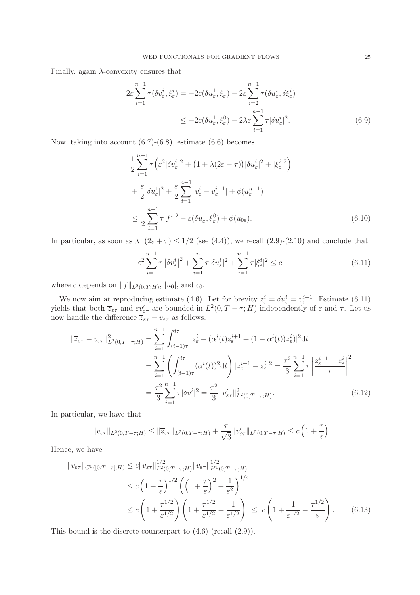Finally, again  $\lambda$ -convexity ensures that

$$
2\varepsilon \sum_{i=1}^{n-1} \tau(\delta v_{\varepsilon}^i, \xi_{\varepsilon}^i) = -2\varepsilon (\delta u_{\varepsilon}^1, \xi_{\varepsilon}^1) - 2\varepsilon \sum_{i=2}^{n-1} \tau(\delta u_{\varepsilon}^i, \delta \xi_{\varepsilon}^i)
$$
  

$$
\leq -2\varepsilon (\delta u_{\varepsilon}^1, \xi_{\varepsilon}^0) - 2\lambda \varepsilon \sum_{i=1}^{n-1} \tau |\delta u_{\varepsilon}^i|^2.
$$
 (6.9)

Now, taking into account (6.7)-(6.8), estimate (6.6) becomes

$$
\frac{1}{2} \sum_{i=1}^{n-1} \tau \left( \varepsilon^2 |\delta v_{\varepsilon}^i|^2 + \left( 1 + \lambda (2\varepsilon + \tau) \right) |\delta u_{\varepsilon}^i|^2 + |\xi_{\varepsilon}^i|^2 \right)
$$
\n
$$
+ \frac{\varepsilon}{2} |\delta u_{\varepsilon}^1|^2 + \frac{\varepsilon}{2} \sum_{i=1}^{n-1} |v_{\varepsilon}^i - v_{\varepsilon}^{i-1}| + \phi (u_{\varepsilon}^{n-1})
$$
\n
$$
\leq \frac{1}{2} \sum_{i=1}^{n-1} \tau |f^i|^2 - \varepsilon (\delta u_{\varepsilon}^1, \xi_{\varepsilon}^0) + \phi (u_{0\varepsilon}). \tag{6.10}
$$

In particular, as soon as  $\lambda^{-}(2\varepsilon + \tau) \leq 1/2$  (see (4.4)), we recall (2.9)-(2.10) and conclude that

$$
\varepsilon^2 \sum_{i=1}^{n-1} \tau \left| \delta v_{\varepsilon}^i \right|^2 + \sum_{i=1}^n \tau |\delta u_{\varepsilon}^i|^2 + \sum_{i=1}^{n-1} \tau |\xi_{\varepsilon}^i|^2 \le c,\tag{6.11}
$$

where c depends on  $||f||_{L^2(0,T;H)}$ ,  $|u_0|$ , and  $c_0$ .

We now aim at reproducing estimate (4.6). Let for brevity  $z_{\varepsilon}^i = \delta u_{\varepsilon}^i = v_{\varepsilon}^{i-1}$ . Estimate (6.11) yields that both  $\overline{z}_{\varepsilon\tau}$  and  $\varepsilon v'_{\varepsilon\tau}$  are bounded in  $L^2(0,T-\tau;H)$  independently of  $\varepsilon$  and  $\tau$ . Let us now handle the difference  $\overline{z}_{\varepsilon\tau} - v_{\varepsilon\tau}$  as follows.

$$
\|\overline{z}_{\varepsilon\tau} - v_{\varepsilon\tau}\|_{L^{2}(0,T-\tau;H)}^{2} = \sum_{i=1}^{n-1} \int_{(i-1)\tau}^{i\tau} |z_{\varepsilon}^{i} - (\alpha^{i}(t)z_{\varepsilon}^{i+1} + (1 - \alpha^{i}(t))z_{\varepsilon}^{i})|^{2} dt
$$
  
\n
$$
= \sum_{i=1}^{n-1} \left( \int_{(i-1)\tau}^{i\tau} (\alpha^{i}(t))^{2} dt \right) |z_{\varepsilon}^{i+1} - z_{\varepsilon}^{i}|^{2} = \frac{\tau^{2}}{3} \sum_{i=1}^{n-1} \tau \left| \frac{z_{\varepsilon}^{i+1} - z_{\varepsilon}^{i}}{\tau} \right|^{2}
$$
  
\n
$$
= \frac{\tau^{2}}{3} \sum_{i=1}^{n-1} \tau |\delta v^{i}|^{2} = \frac{\tau^{2}}{3} ||v_{\varepsilon\tau}'||_{L^{2}(0,T-\tau;H)}^{2}.
$$
 (6.12)

In particular, we have that

$$
||v_{\varepsilon\tau}||_{L^{2}(0,T-\tau;H)} \leq ||\overline{z}_{\varepsilon\tau}||_{L^{2}(0,T-\tau;H)} + \frac{\tau}{\sqrt{3}}||v_{\varepsilon\tau}'||_{L^{2}(0,T-\tau;H)} \leq c\left(1+\frac{\tau}{\varepsilon}\right)
$$

Hence, we have

$$
||v_{\varepsilon\tau}||_{C^{0}([0,T-\tau];H)} \leq c||v_{\varepsilon\tau}||_{L^{2}(0,T-\tau;H)}^{1/2}||v_{\varepsilon\tau}||_{H^{1}(0,T-\tau;H)}^{1/2}
$$
  
\n
$$
\leq c\left(1+\frac{\tau}{\varepsilon}\right)^{1/2}\left(\left(1+\frac{\tau}{\varepsilon}\right)^{2}+\frac{1}{\varepsilon^{2}}\right)^{1/4}
$$
  
\n
$$
\leq c\left(1+\frac{\tau^{1/2}}{\varepsilon^{1/2}}\right)\left(1+\frac{\tau^{1/2}}{\varepsilon^{1/2}}+\frac{1}{\varepsilon^{1/2}}\right) \leq c\left(1+\frac{1}{\varepsilon^{1/2}}+\frac{\tau^{1/2}}{\varepsilon}\right).
$$
 (6.13)

This bound is the discrete counterpart to (4.6) (recall (2.9)).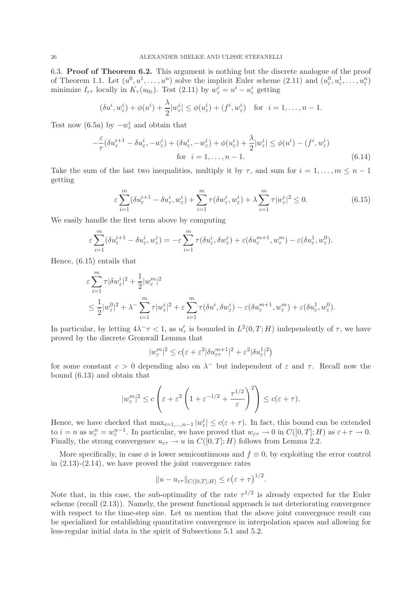6.3. Proof of Theorem 6.2. This argument is nothing but the discrete analogue of the proof of Theorem 1.1. Let  $(u^0, u^1, \ldots, u^n)$  solve the implicit Euler scheme  $(2.11)$  and  $(u^0_\varepsilon, u^1_\varepsilon, \ldots, u^n_\varepsilon)$ minimize  $I_{\varepsilon\tau}$  locally in  $K_{\tau}(u_{0\varepsilon})$ . Test (2.11) by  $w_{\varepsilon}^i = u^i - u_{\varepsilon}^i$  getting

$$
(\delta u^i, w^i_{\varepsilon}) + \phi(u^i) + \frac{\lambda}{2}|w^i_{\varepsilon}| \leq \phi(u^i_{\varepsilon}) + (f^i, w^i_{\varepsilon})
$$
 for  $i = 1, ..., n-1$ .

Test now (6.5a) by  $-w_{\varepsilon}^{i}$  and obtain that

$$
-\frac{\varepsilon}{\tau}(\delta u_{\varepsilon}^{i+1} - \delta u_{\varepsilon}^i, -w_{\varepsilon}^i) + (\delta u_{\varepsilon}^i, -w_{\varepsilon}^i) + \phi(u_{\varepsilon}^i) + \frac{\lambda}{2}|w_{\varepsilon}^i| \leq \phi(u^i) - (f^i, w_{\varepsilon}^i)
$$
  
for  $i = 1, ..., n - 1$ . (6.14)

Take the sum of the last two inequalities, multiply it by  $\tau$ , and sum for  $i = 1, \ldots, m \leq n - 1$ getting

$$
\varepsilon \sum_{i=1}^{m} (\delta u_{\varepsilon}^{i+1} - \delta u_{\varepsilon}^{i}, w_{\varepsilon}^{i}) + \sum_{i=1}^{m} \tau (\delta w_{\varepsilon}^{i}, w_{\varepsilon}^{i}) + \lambda \sum_{i=1}^{m} \tau |w_{\varepsilon}^{i}|^{2} \le 0.
$$
 (6.15)

We easily handle the first term above by computing

$$
\varepsilon \sum_{i=1}^m (\delta u_\varepsilon^{i+1} - \delta u_\varepsilon^i, w_\varepsilon^i) = -\varepsilon \sum_{i=1}^m \tau (\delta u_\varepsilon^i, \delta w_\varepsilon^i) + \varepsilon (\delta u_\varepsilon^{m+1}, w_\varepsilon^m) - \varepsilon (\delta u_\varepsilon^1, w_\varepsilon^0).
$$

Hence, (6.15) entails that

$$
\begin{split} &\varepsilon\sum_{i=1}^m \tau|\delta w^i_\varepsilon|^2+\frac{1}{2}|w_\varepsilon^m|^2\\ &\leq \frac{1}{2}|w_\varepsilon^0|^2+\lambda^-\sum_{i=1}^m \tau|w^i_\varepsilon|^2+\varepsilon\sum_{i=1}^m \tau(\delta u^i,\delta w^i_\varepsilon)-\varepsilon(\delta u_\varepsilon^{m+1},w_\varepsilon^m)+\varepsilon(\delta u^1_\varepsilon,w^0_\varepsilon). \end{split}
$$

In particular, by letting  $4\lambda^{-} \tau < 1$ , as  $u_{\tau}'$  is bounded in  $L^{2}(0,T;H)$  independently of  $\tau$ , we have proved by the discrete Gronwall Lemma that

$$
|w_{\varepsilon}^{m}|^{2} \leq c(\varepsilon + \varepsilon^{2} |\delta u_{\varepsilon\tau}^{m+1}|^{2} + \varepsilon^{2} |\delta u_{\varepsilon}^{1}|^{2})
$$

for some constant  $c > 0$  depending also on  $\lambda^-$  but independent of  $\varepsilon$  and  $\tau$ . Recall now the bound (6.13) and obtain that

$$
|w_{\varepsilon}^{m}|^{2} \leq c \left(\varepsilon + \varepsilon^{2} \left(1 + \varepsilon^{-1/2} + \frac{\tau^{1/2}}{\varepsilon}\right)^{2}\right) \leq c(\varepsilon + \tau).
$$

Hence, we have checked that  $\max_{i=1,\dots,n-1} |w_{\varepsilon}^i| \leq c(\varepsilon + \tau)$ . In fact, this bound can be extended to  $i = n$  as  $w_{\varepsilon}^n = w_{\varepsilon}^{n-1}$ . In particular, we have proved that  $w_{\varepsilon\tau} \to 0$  in  $C([0,T];H)$  as  $\varepsilon + \tau \to 0$ . Finally, the strong convergence  $u_{\varepsilon\tau} \to u$  in  $C([0,T];H)$  follows from Lemma 2.2.

More specifically, in case  $\phi$  is lower semicontinuous and  $f \equiv 0$ , by exploiting the error control in  $(2.13)-(2.14)$ , we have proved the joint convergence rates

$$
||u - u_{\varepsilon\tau}||_{C([0,T];H)} \leq c(\varepsilon + \tau)^{1/2}.
$$

Note that, in this case, the sub-optimality of the rate  $\tau^{1/2}$  is already expected for the Euler scheme (recall (2.13)). Namely, the present functional approach is not deteriorating convergence with respect to the time-step size. Let us mention that the above joint convergence result can be specialized for establishing quantitative convergence in interpolation spaces and allowing for less-regular initial data in the spirit of Subsections 5.1 and 5.2.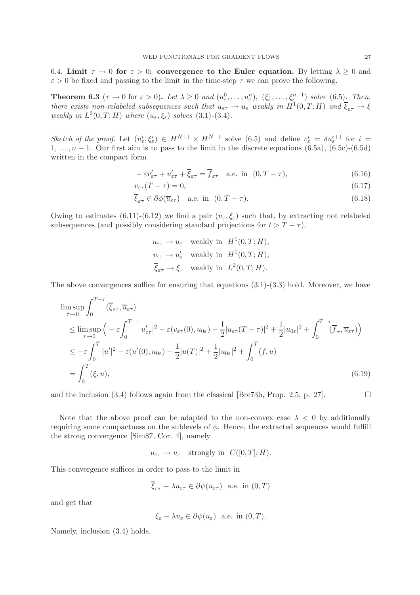6.4. Limit  $\tau \to 0$  for  $\varepsilon > 0$ : convergence to the Euler equation. By letting  $\lambda \geq 0$  and  $\varepsilon > 0$  be fixed and passing to the limit in the time-step  $\tau$  we can prove the following.

**Theorem 6.3** ( $\tau \to 0$  for  $\varepsilon > 0$ ). Let  $\lambda \geq 0$  and  $(u_{\varepsilon}^0, \ldots, u_{\varepsilon}^n)$ ,  $(\xi_{\varepsilon}^1, \ldots, \xi_{\varepsilon}^{n-1})$  solve (6.5). Then, *there exists non-relabeled subsequences such that*  $u_{\varepsilon\tau} \to u_{\varepsilon}$  weakly in  $H^1(0,T;H)$  and  $\overline{\xi}_{\varepsilon\tau} \to \xi$ *weakly in*  $L^2(0,T;H)$  *where*  $(u_\varepsilon, \xi_\varepsilon)$  *solves*  $(3.1)-(3.4)$ *.* 

Sketch of the proof. Let  $(u_{\varepsilon}^i, \xi_{\varepsilon}^i) \in H^{N+1} \times H^{N-1}$  solve (6.5) and define  $v_{\varepsilon}^i = \delta u_{\varepsilon}^{i+1}$  for  $i =$  $1, \ldots, n-1$ . Our first aim is to pass to the limit in the discrete equations (6.5a), (6.5c)-(6.5d) written in the compact form

$$
-\varepsilon v'_{\varepsilon\tau} + u'_{\varepsilon\tau} + \overline{\xi}_{\varepsilon\tau} = \overline{f}_{\varepsilon\tau} \quad \text{a.e. in } (0, T - \tau), \tag{6.16}
$$

$$
v_{\varepsilon\tau}(T-\tau) = 0,\tag{6.17}
$$

$$
\overline{\xi}_{\varepsilon\tau} \in \partial \phi(\overline{u}_{\varepsilon\tau}) \quad \text{a.e. in } (0, T - \tau). \tag{6.18}
$$

Owing to estimates (6.11)-(6.12) we find a pair  $(u_{\varepsilon}, \xi_{\varepsilon})$  such that, by extracting not relabeled subsequences (and possibly considering standard projections for  $t > T - \tau$ ),

$$
u_{\varepsilon\tau} \to u_{\varepsilon} \quad \text{weakly in} \quad H^1(0,T;H),
$$
  

$$
v_{\varepsilon\tau} \to u'_{\varepsilon} \quad \text{weakly in} \quad H^1(0,T;H),
$$
  

$$
\overline{\xi}_{\varepsilon\tau} \to \xi_{\varepsilon} \quad \text{weakly in} \quad L^2(0,T;H).
$$

The above convergences suffice for ensuring that equations  $(3.1)-(3.3)$  hold. Moreover, we have

$$
\limsup_{\tau \to 0} \int_0^{T-\tau} (\overline{\xi}_{\varepsilon\tau}, \overline{u}_{\varepsilon\tau})
$$
\n
$$
\leq \limsup_{\tau \to 0} \left( -\varepsilon \int_0^{T-\tau} |u'_{\varepsilon\tau}|^2 - \varepsilon (v_{\varepsilon\tau}(0), u_{0\varepsilon}) - \frac{1}{2} |u_{\varepsilon\tau}(T-\tau)|^2 + \frac{1}{2} |u_{0\varepsilon}|^2 + \int_0^{T-\tau} (\overline{f}_{\tau}, \overline{u}_{\varepsilon\tau}) \right)
$$
\n
$$
\leq -\varepsilon \int_0^T |u'|^2 - \varepsilon (u'(0), u_{0\varepsilon}) - \frac{1}{2} |u(T)|^2 + \frac{1}{2} |u_{0\varepsilon}|^2 + \int_0^T (f, u)
$$
\n
$$
= \int_0^T (\xi, u), \tag{6.19}
$$

and the inclusion (3.4) follows again from the classical [Bre73b, Prop. 2.5, p. 27].

Note that the above proof can be adapted to the non-convex case  $\lambda < 0$  by additionally requiring some compactness on the sublevels of  $\phi$ . Hence, the extracted sequences would fulfill the strong convergence [Sim87, Cor. 4], namely

$$
u_{\varepsilon\tau} \to u_{\varepsilon}
$$
 strongly in  $C([0,T];H)$ .

This convergence suffices in order to pass to the limit in

$$
\overline{\xi}_{\varepsilon\tau} - \lambda \overline{u}_{\varepsilon\tau} \in \partial \psi(\overline{u}_{\varepsilon\tau})
$$
 a.e. in  $(0, T)$ 

and get that

$$
\xi_{\varepsilon} - \lambda u_{\varepsilon} \in \partial \psi(u_{\varepsilon})
$$
 a.e. in  $(0, T)$ .

Namely, inclusion (3.4) holds.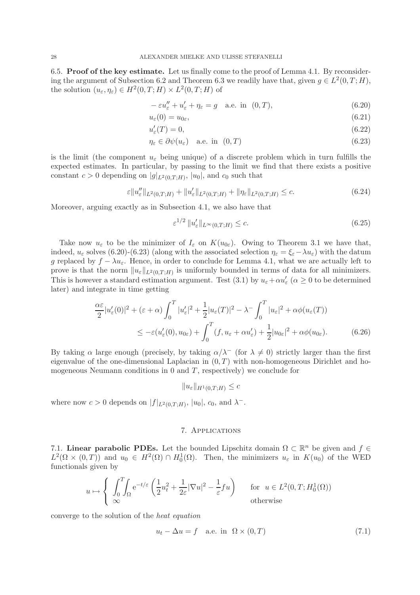6.5. Proof of the key estimate. Let us finally come to the proof of Lemma 4.1. By reconsidering the argument of Subsection 6.2 and Theorem 6.3 we readily have that, given  $g \in L^2(0,T;H)$ , the solution  $(u_{\varepsilon}, \eta_{\varepsilon}) \in H^2(0,T;H) \times L^2(0,T;H)$  of

$$
-\varepsilon u_{\varepsilon}'' + u_{\varepsilon}' + \eta_{\varepsilon} = g \quad \text{a.e. in } (0, T), \tag{6.20}
$$

$$
u_{\varepsilon}(0) = u_{0\varepsilon},\tag{6.21}
$$

$$
u'_{\varepsilon}(T) = 0,\tag{6.22}
$$

$$
\eta_{\varepsilon} \in \partial \psi(u_{\varepsilon}) \quad \text{a.e. in} \quad (0, T) \tag{6.23}
$$

is the limit (the component  $u_{\varepsilon}$  being unique) of a discrete problem which in turn fulfills the expected estimates. In particular, by passing to the limit we find that there exists a positive constant  $c > 0$  depending on  $|g|_{L^2(0,T;H)}$ ,  $|u_0|$ , and  $c_0$  such that

$$
\varepsilon \|u_{\varepsilon}''\|_{L^2(0,T;H)} + \|u_{\varepsilon}'\|_{L^2(0,T;H)} + \|\eta_{\varepsilon}\|_{L^2(0,T;H)} \leq c. \tag{6.24}
$$

Moreover, arguing exactly as in Subsection 4.1, we also have that

$$
\varepsilon^{1/2} \|u_{\varepsilon}'\|_{L^{\infty}(0,T;H)} \leq c. \tag{6.25}
$$

Take now  $u_{\varepsilon}$  to be the minimizer of  $I_{\varepsilon}$  on  $K(u_{0\varepsilon})$ . Owing to Theorem 3.1 we have that, indeed,  $u_{\varepsilon}$  solves (6.20)-(6.23) (along with the associated selection  $\eta_{\varepsilon} = \xi_{\varepsilon} - \lambda u_{\varepsilon}$ ) with the datum g replaced by  $f - \lambda u_{\varepsilon}$ . Hence, in order to conclude for Lemma 4.1, what we are actually left to prove is that the norm  $||u_{\varepsilon}||_{L^2(0,T;H)}$  is uniformly bounded in terms of data for all minimizers. This is however a standard estimation argument. Test (3.1) by  $u_{\varepsilon} + \alpha u_{\varepsilon}'$  ( $\alpha \ge 0$  to be determined later) and integrate in time getting

$$
\frac{\alpha \varepsilon}{2} |u'_{\varepsilon}(0)|^2 + (\varepsilon + \alpha) \int_0^T |u'_{\varepsilon}|^2 + \frac{1}{2} |u_{\varepsilon}(T)|^2 - \lambda^- \int_0^T |u_{\varepsilon}|^2 + \alpha \phi(u_{\varepsilon}(T))
$$
  

$$
\leq -\varepsilon (u'_{\varepsilon}(0), u_{0\varepsilon}) + \int_0^T (f, u_{\varepsilon} + \alpha u'_{\varepsilon}) + \frac{1}{2} |u_{0\varepsilon}|^2 + \alpha \phi(u_{0\varepsilon}). \tag{6.26}
$$

By taking  $\alpha$  large enough (precisely, by taking  $\alpha/\lambda^-$  (for  $\lambda \neq 0$ ) strictly larger than the first eigenvalue of the one-dimensional Laplacian in  $(0,T)$  with non-homogeneous Dirichlet and homogeneous Neumann conditions in  $0$  and  $T$ , respectively) we conclude for

$$
||u_{\varepsilon}||_{H^1(0,T;H)} \leq c
$$

where now  $c > 0$  depends on  $|f|_{L^2(0,T;H)}$ ,  $|u_0|$ ,  $c_0$ , and  $\lambda^-$ .

### 7. Applications

7.1. Linear parabolic PDEs. Let the bounded Lipschitz domain  $\Omega \subset \mathbb{R}^n$  be given and  $f \in$  $L^2(\Omega \times (0,T))$  and  $u_0 \in H^2(\Omega) \cap H_0^1(\Omega)$ . Then, the minimizers  $u_{\varepsilon}$  in  $K(u_0)$  of the WED functionals given by

$$
u \mapsto \begin{cases} \int_0^T \int_{\Omega} e^{-t/\varepsilon} \left( \frac{1}{2} u_t^2 + \frac{1}{2\varepsilon} |\nabla u|^2 - \frac{1}{\varepsilon} f u \right) & \text{for } u \in L^2(0, T; H_0^1(\Omega))\\ \infty & \text{otherwise} \end{cases}
$$

converge to the solution of the *heat equation*

$$
u_t - \Delta u = f \quad \text{a.e. in } \Omega \times (0, T) \tag{7.1}
$$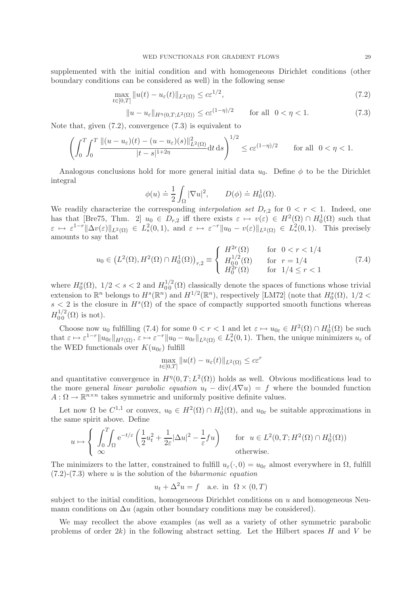supplemented with the initial condition and with homogeneous Dirichlet conditions (other boundary conditions can be considered as well) in the following sense

$$
\max_{t \in [0,T]} \|u(t) - u_{\varepsilon}(t)\|_{L^{2}(\Omega)} \le c\varepsilon^{1/2},
$$
\n(7.2)

$$
||u - u_{\varepsilon}||_{H^{\eta}(0,T;L^{2}(\Omega))} \leq c\varepsilon^{(1-\eta)/2} \qquad \text{for all} \ \ 0 < \eta < 1. \tag{7.3}
$$

Note that, given (7.2), convergence (7.3) is equivalent to

$$
\left(\int_0^T \int_0^T \frac{\|(u-u_\varepsilon)(t)-(u-u_\varepsilon)(s)\|_{L^2(\Omega)}^2}{|t-s|^{1+2\eta}}\mathrm{d}t\,\mathrm{d}s\right)^{1/2} \leq c\varepsilon^{(1-\eta)/2} \qquad \text{for all } 0<\eta<1.
$$

Analogous conclusions hold for more general initial data  $u_0$ . Define  $\phi$  to be the Dirichlet integral

$$
\phi(u) \doteq \frac{1}{2} \int_{\Omega} |\nabla u|^2, \qquad D(\phi) \doteq H_0^1(\Omega).
$$

We readily characterize the corresponding *interpolation set*  $D_{r,2}$  for  $0 < r < 1$ . Indeed, one has that [Bre75, Thm. 2]  $u_0 \in D_{r,2}$  iff there exists  $\varepsilon \mapsto v(\varepsilon) \in H^2(\Omega) \cap H_0^1(\Omega)$  such that  $\varepsilon \mapsto \varepsilon^{1-r} \|\Delta v(\varepsilon)\|_{L^2(\Omega)} \in L^2_*(0,1)$ , and  $\varepsilon \mapsto \varepsilon^{-r} \|u_0 - v(\varepsilon)\|_{L^2(\Omega)} \in L^2_*(0,1)$ . This precisely amounts to say that

$$
u_0 \in (L^2(\Omega), H^2(\Omega) \cap H_0^1(\Omega))_{r,2} \equiv \begin{cases} H^{2r}(\Omega) & \text{for } 0 < r < 1/4 \\ H_{00}^{1/2}(\Omega) & \text{for } r = 1/4 \\ H_0^{2r}(\Omega) & \text{for } 1/4 \le r < 1 \end{cases}
$$
(7.4)

where  $H_0^s(\Omega)$ ,  $1/2 < s < 2$  and  $H_0^{1/2}(\Omega)$  classically denote the spaces of functions whose trivial extension to  $\mathbb{R}^n$  belongs to  $H^s(\mathbb{R}^n)$  and  $H^{1/2}(\mathbb{R}^n)$ , respectively [LM72] (note that  $H_0^s(\Omega)$ ,  $1/2 <$  $s < 2$  is the closure in  $H^s(\Omega)$  of the space of compactly supported smooth functions whereas  $H_{00}^{1/2}(\Omega)$  is not).

Choose now  $u_0$  fulfilling (7.4) for some  $0 < r < 1$  and let  $\varepsilon \mapsto u_{0\varepsilon} \in H^2(\Omega) \cap H_0^1(\Omega)$  be such that  $\varepsilon \mapsto \varepsilon^{1-r} \|u_{0\varepsilon}\|_{H^2(\Omega)}, \varepsilon \mapsto \varepsilon^{-r} \|u_0 - u_{0\varepsilon}\|_{L^2(\Omega)} \in L^2_*(0, 1).$  Then, the unique minimizers  $u_{\varepsilon}$  of the WED functionals over  $K(u_{0\varepsilon})$  fulfill

$$
\max_{t \in [0,T]} \|u(t) - u_{\varepsilon}(t)\|_{L^2(\Omega)} \leq c\varepsilon^r
$$

and quantitative convergence in  $H^{\eta}(0,T;L^2(\Omega))$  holds as well. Obvious modifications lead to the more general *linear parabolic equation*  $u_t - \text{div}(A\nabla u) = f$  where the bounded function  $A: \Omega \to \mathbb{R}^{n \times n}$  takes symmetric and uniformly positive definite values.

Let now  $\Omega$  be  $C^{1,1}$  or convex,  $u_0 \in H^2(\Omega) \cap H_0^1(\Omega)$ , and  $u_{0\varepsilon}$  be suitable approximations in the same spirit above. Define

$$
u \mapsto \begin{cases} \int_0^T \int_{\Omega} e^{-t/\varepsilon} \left( \frac{1}{2} u_t^2 + \frac{1}{2\varepsilon} |\Delta u|^2 - \frac{1}{\varepsilon} f u \right) & \text{for } u \in L^2(0, T; H^2(\Omega) \cap H_0^1(\Omega)) \\ \infty & \text{otherwise.} \end{cases}
$$

The minimizers to the latter, constrained to fulfill  $u_{\varepsilon}(\cdot,0) = u_{0\varepsilon}$  almost everywhere in  $\Omega$ , fulfill (7.2)-(7.3) where u is the solution of the *biharmonic equation*

$$
u_t + \Delta^2 u = f
$$
 a.e. in  $\Omega \times (0, T)$ 

subject to the initial condition, homogeneous Dirichlet conditions on  $u$  and homogeneous Neumann conditions on  $\Delta u$  (again other boundary conditions may be considered).

We may recollect the above examples (as well as a variety of other symmetric parabolic problems of order  $2k$ ) in the following abstract setting. Let the Hilbert spaces H and V be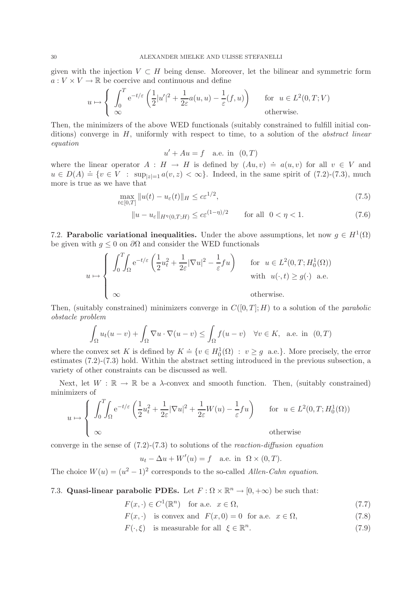given with the injection  $V \subset H$  being dense. Moreover, let the bilinear and symmetric form  $a: V \times V \to \mathbb{R}$  be coercive and continuous and define

$$
u \mapsto \begin{cases} \int_0^T e^{-t/\varepsilon} \left( \frac{1}{2} |u'|^2 + \frac{1}{2\varepsilon} a(u, u) - \frac{1}{\varepsilon} (f, u) \right) & \text{for } u \in L^2(0, T; V) \\ \infty & \text{otherwise.} \end{cases}
$$

Then, the minimizers of the above WED functionals (suitably constrained to fulfill initial conditions) converge in H, uniformly with respect to time, to a solution of the *abstract linear equation*

$$
u' + Au = f \quad \text{a.e. in} \quad (0, T)
$$

where the linear operator  $A : H \to H$  is defined by  $(Au, v) \doteq a(u, v)$  for all  $v \in V$  and  $u \in D(A) \doteq \{v \in V : \sup_{|z|=1} a(v,z) < \infty\}$ . Indeed, in the same spirit of (7.2)-(7.3), much more is true as we have that

$$
\max_{t \in [0,T]} \|u(t) - u_{\varepsilon}(t)\|_{H} \le c\varepsilon^{1/2},\tag{7.5}
$$

$$
||u - u_{\varepsilon}||_{H^{\eta}(0,T;H)} \le c\varepsilon^{(1-\eta)/2} \qquad \text{for all} \ \ 0 < \eta < 1. \tag{7.6}
$$

7.2. Parabolic variational inequalities. Under the above assumptions, let now  $g \in H^1(\Omega)$ be given with  $g \leq 0$  on  $\partial\Omega$  and consider the WED functionals

$$
u \mapsto \begin{cases} \int_0^T \int_{\Omega} e^{-t/\varepsilon} \left( \frac{1}{2} u_t^2 + \frac{1}{2\varepsilon} |\nabla u|^2 - \frac{1}{\varepsilon} f u \right) & \text{for } u \in L^2(0, T; H_0^1(\Omega)) \\ & \text{with } u(\cdot, t) \ge g(\cdot) \text{ a.e.} \\ \infty & \text{otherwise.} \end{cases}
$$

Then, (suitably constrained) minimizers converge in  $C([0,T]; H)$  to a solution of the *parabolic obstacle problem*

$$
\int_{\Omega} u_t(u-v) + \int_{\Omega} \nabla u \cdot \nabla (u-v) \le \int_{\Omega} f(u-v) \quad \forall v \in K, \text{ a.e. in } (0,T)
$$

where the convex set K is defined by  $K = \{v \in H_0^1(\Omega) : v \ge g$  a.e.}. More precisely, the error estimates (7.2)-(7.3) hold. Within the abstract setting introduced in the previous subsection, a variety of other constraints can be discussed as well.

Next, let  $W : \mathbb{R} \to \mathbb{R}$  be a  $\lambda$ -convex and smooth function. Then, (suitably constrained) minimizers of

$$
u \mapsto \begin{cases} \int_0^T \int_{\Omega} e^{-t/\varepsilon} \left( \frac{1}{2} u_t^2 + \frac{1}{2\varepsilon} |\nabla u|^2 + \frac{1}{2\varepsilon} W(u) - \frac{1}{\varepsilon} f u \right) & \text{for } u \in L^2(0, T; H_0^1(\Omega)) \\ \infty & \text{otherwise} \end{cases}
$$

converge in the sense of (7.2)-(7.3) to solutions of the *reaction-diffusion equation*

$$
u_t - \Delta u + W'(u) = f \quad \text{a.e. in } \ \Omega \times (0, T).
$$

The choice  $W(u) = (u^2 - 1)^2$  corresponds to the so-called *Allen-Cahn equation*.

7.3. Quasi-linear parabolic PDEs. Let  $F : \Omega \times \mathbb{R}^n \to [0, +\infty)$  be such that:

$$
F(x, \cdot) \in C^1(\mathbb{R}^n) \quad \text{for a.e. } x \in \Omega,
$$
\n
$$
(7.7)
$$

$$
F(x, \cdot)
$$
 is convex and  $F(x, 0) = 0$  for a.e.  $x \in \Omega$ , (7.8)

 $F(\cdot,\xi)$  is measurable for all  $\xi \in \mathbb{R}^n$  $(7.9)$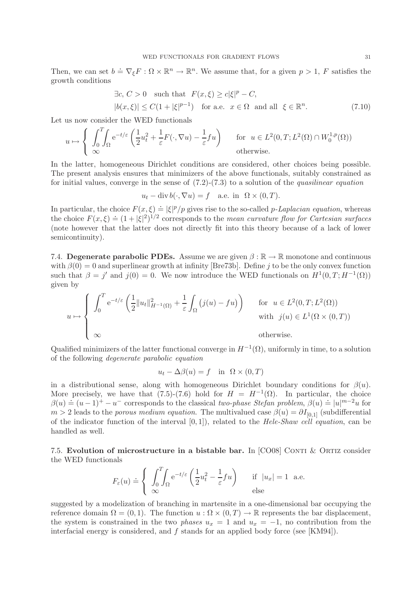Then, we can set  $b = \nabla_{\xi} F : \Omega \times \mathbb{R}^n \to \mathbb{R}^n$ . We assume that, for a given  $p > 1$ , F satisfies the growth conditions

$$
\exists c, C > 0 \text{ such that } F(x,\xi) \ge c|\xi|^p - C,
$$
  

$$
|b(x,\xi)| \le C(1+|\xi|^{p-1}) \text{ for a.e. } x \in \Omega \text{ and all } \xi \in \mathbb{R}^n.
$$
 (7.10)

Let us now consider the WED functionals

$$
u \mapsto \begin{cases} \int_0^T \int_{\Omega} e^{-t/\varepsilon} \left( \frac{1}{2} u_t^2 + \frac{1}{\varepsilon} F(\cdot, \nabla u) - \frac{1}{\varepsilon} f u \right) & \text{for } u \in L^2(0, T; L^2(\Omega) \cap W_0^{1, p}(\Omega)) \\ \infty & \text{otherwise.} \end{cases}
$$

In the latter, homogeneous Dirichlet conditions are considered, other choices being possible. The present analysis ensures that minimizers of the above functionals, suitably constrained as for initial values, converge in the sense of (7.2)-(7.3) to a solution of the *quasilinear equation*

$$
u_t - \operatorname{div} b(\cdot, \nabla u) = f \quad \text{a.e. in } \ \Omega \times (0, T).
$$

In particular, the choice  $F(x,\xi) \doteq |\xi|^p/p$  gives rise to the so-called p-Laplacian equation, whereas the choice  $F(x,\xi) = (1+|\xi|^2)^{1/2}$  corresponds to the *mean curvature flow for Cartesian surfaces* (note however that the latter does not directly fit into this theory because of a lack of lower semicontinuity).

7.4. Degenerate parabolic PDEs. Assume we are given  $\beta : \mathbb{R} \to \mathbb{R}$  monotone and continuous with  $\beta(0) = 0$  and superlinear growth at infinity [Bre73b]. Define j to be the only convex function such that  $\beta = j'$  and  $j(0) = 0$ . We now introduce the WED functionals on  $H^1(0,T;H^{-1}(\Omega))$ given by

$$
u \mapsto \begin{cases} \int_0^T e^{-t/\varepsilon} \left( \frac{1}{2} \|u_t\|_{H^{-1}(\Omega)}^2 + \frac{1}{\varepsilon} \int_{\Omega} (j(u) - fu) \right) & \text{for } u \in L^2(0, T; L^2(\Omega)) \\ \infty & \text{with } j(u) \in L^1(\Omega \times (0, T)) \\ \infty & \text{otherwise.} \end{cases}
$$

Qualified minimizers of the latter functional converge in  $H^{-1}(\Omega)$ , uniformly in time, to a solution of the following *degenerate parabolic equation*

$$
u_t - \Delta\beta(u) = f \quad \text{in} \quad \Omega \times (0, T)
$$

in a distributional sense, along with homogeneous Dirichlet boundary conditions for  $\beta(u)$ . More precisely, we have that  $(7.5)-(7.6)$  hold for  $H = H^{-1}(\Omega)$ . In particular, the choice  $\beta(u) \doteq (u-1)^+ - u^-$  corresponds to the classical *two-phase Stefan problem*,  $\beta(u) \doteq |u|^{m-2}u$  for  $m > 2$  leads to the *porous medium equation*. The multivalued case  $\beta(u) = \partial I_{[0,1]}$  (subdifferential of the indicator function of the interval [0, 1]), related to the *Hele-Shaw cell equation*, can be handled as well.

7.5. Evolution of microstructure in a bistable bar. In  $[CO08]$  CONTI & ORTIZ consider the WED functionals

$$
F_{\varepsilon}(u) \doteq \left\{ \int_{0}^{T} \int_{\Omega} e^{-t/\varepsilon} \left( \frac{1}{2} u_t^2 - \frac{1}{\varepsilon} f u \right) \right\} \quad \text{if } |u_x| = 1 \text{ a.e.}
$$
  
else

suggested by a modelization of branching in martensite in a one-dimensional bar occupying the reference domain  $\Omega = (0, 1)$ . The function  $u : \Omega \times (0, T) \to \mathbb{R}$  represents the bar displacement, the system is constrained in the two *phases*  $u_x = 1$  and  $u_x = -1$ , no contribution from the interfacial energy is considered, and  $f$  stands for an applied body force (see [KM94]).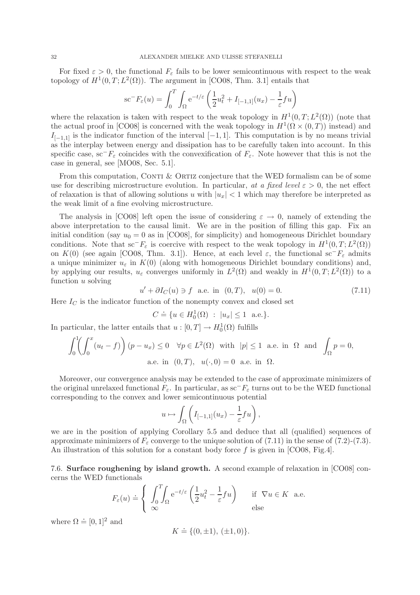For fixed  $\varepsilon > 0$ , the functional  $F_{\varepsilon}$  fails to be lower semicontinuous with respect to the weak topology of  $H^1(0,T; L^2(\Omega))$ . The argument in [CO08, Thm. 3.1] entails that

$$
\mathrm{sc}^{-}F_{\varepsilon}(u) = \int_{0}^{T} \int_{\Omega} e^{-t/\varepsilon} \left( \frac{1}{2} u_{t}^{2} + I_{[-1,1]}(u_{x}) - \frac{1}{\varepsilon} f u \right)
$$

where the relaxation is taken with respect to the weak topology in  $H^1(0,T;L^2(\Omega))$  (note that the actual proof in [CO08] is concerned with the weak topology in  $H^1(\Omega \times (0,T))$  instead) and  $I_{[-1,1]}$  is the indicator function of the interval  $[-1,1]$ . This computation is by no means trivial as the interplay between energy and dissipation has to be carefully taken into account. In this specific case, sc<sup>−</sup>F<sub>ε</sub> coincides with the convexification of  $F_{\varepsilon}$ . Note however that this is not the case in general, see [MO08, Sec. 5.1].

From this computation, CONTI  $&$  ORTIZ conjecture that the WED formalism can be of some use for describing microstructure evolution. In particular, *at a fixed level*  $\varepsilon > 0$ , the net effect of relaxation is that of allowing solutions u with  $|u_x| < 1$  which may therefore be interpreted as the weak limit of a fine evolving microstructure.

The analysis in [CO08] left open the issue of considering  $\varepsilon \to 0$ , namely of extending the above interpretation to the causal limit. We are in the position of filling this gap. Fix an initial condition (say  $u_0 = 0$  as in [CO08], for simplicity) and homogeneous Dirichlet boundary conditions. Note that  $\mathrm{sc}^-F_\varepsilon$  is coercive with respect to the weak topology in  $H^1(0,T;L^2(\Omega))$ on K(0) (see again [CO08, Thm. 3.1]). Hence, at each level  $\varepsilon$ , the functional sc<sup>−</sup>F<sub>ε</sub> admits a unique minimizer  $u_{\varepsilon}$  in  $K(0)$  (along with homogeneous Dirichlet boundary conditions) and, by applying our results,  $u_{\varepsilon}$  converges uniformly in  $L^2(\Omega)$  and weakly in  $H^1(0,T;L^2(\Omega))$  to a function u solving

$$
u' + \partial I_C(u) \ni f \text{ a.e. in } (0, T), \quad u(0) = 0. \tag{7.11}
$$

Here  $I_C$  is the indicator function of the nonempty convex and closed set

$$
C \doteq \{ u \in H_0^1(\Omega) \; : \; |u_x| \leq 1 \;\; \text{a.e.} \}.
$$

In particular, the latter entails that  $u: [0, T] \to H_0^1(\Omega)$  fulfills

$$
\int_0^1 \left( \int_0^x (u_t - f) \right) (p - u_x) \le 0 \quad \forall p \in L^2(\Omega) \text{ with } |p| \le 1 \text{ a.e. in } \Omega \text{ and } \int_{\Omega} p = 0,
$$
  
a.e. in  $(0, T), u(\cdot, 0) = 0$  a.e. in  $\Omega$ .

Moreover, our convergence analysis may be extended to the case of approximate minimizers of the original unrelaxed functional  $F_{\varepsilon}$ . In particular, as sc<sup>−</sup> $F_{\varepsilon}$  turns out to be the WED functional corresponding to the convex and lower semicontinuous potential

$$
u \mapsto \int_{\Omega} \left( I_{[-1,1]}(u_x) - \frac{1}{\varepsilon} f u \right),
$$

we are in the position of applying Corollary 5.5 and deduce that all (qualified) sequences of approximate minimizers of  $F_{\varepsilon}$  converge to the unique solution of (7.11) in the sense of (7.2)-(7.3). An illustration of this solution for a constant body force  $f$  is given in [CO08, Fig.4].

7.6. Surface roughening by island growth. A second example of relaxation in [CO08] concerns the WED functionals

$$
F_{\varepsilon}(u) \doteq \left\{ \begin{array}{l} \int_{0}^{T} \int_{\Omega} e^{-t/\varepsilon} \left( \frac{1}{2} u_{t}^{2} - \frac{1}{\varepsilon} f u \right) & \text{if } \nabla u \in K \text{ a.e.} \\ \infty & \text{else} \end{array} \right.
$$

where  $\Omega \doteq [0, 1]^2$  and

$$
K \doteq \{ (0, \pm 1), \, (\pm 1, 0) \}.
$$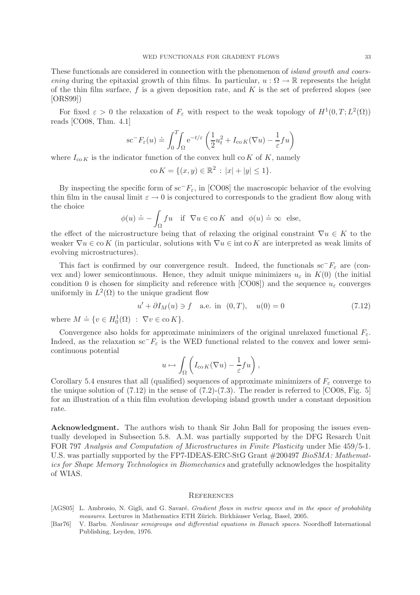These functionals are considered in connection with the phenomenon of *island growth and coarsening* during the epitaxial growth of thin films. In particular,  $u : \Omega \to \mathbb{R}$  represents the height of the thin film surface, f is a given deposition rate, and  $K$  is the set of preferred slopes (see [ORS99])

For fixed  $\varepsilon > 0$  the relaxation of  $F_{\varepsilon}$  with respect to the weak topology of  $H^1(0,T; L^2(\Omega))$ reads [CO08, Thm. 4.1]

$$
\sec^{-}F_{\varepsilon}(u) \doteq \int_{0}^{T} \int_{\Omega} e^{-t/\varepsilon} \left( \frac{1}{2} u_t^2 + I_{\cos K}(\nabla u) - \frac{1}{\varepsilon} f u \right)
$$

where  $I_{\text{co }K}$  is the indicator function of the convex hull co K of K, namely

$$
co K = \{ (x, y) \in \mathbb{R}^2 : |x| + |y| \le 1 \}.
$$

By inspecting the specific form of sc<sup>−</sup> $F_{\varepsilon}$ , in [CO08] the macroscopic behavior of the evolving thin film in the causal limit  $\varepsilon \to 0$  is conjectured to corresponds to the gradient flow along with the choice

$$
\phi(u) \doteq -\int_{\Omega} fu
$$
 if  $\nabla u \in \text{co } K$  and  $\phi(u) \doteq \infty$  else,

the effect of the microstructure being that of relaxing the original constraint  $\nabla u \in K$  to the weaker  $\nabla u \in \text{co } K$  (in particular, solutions with  $\nabla u \in \text{int } \text{co } K$  are interpreted as weak limits of evolving microstructures).

This fact is confirmed by our convergence result. Indeed, the functionals sc<sup>−</sup> $F_{\varepsilon}$  are (convex and) lower semicontinuous. Hence, they admit unique minimizers  $u_{\varepsilon}$  in  $K(0)$  (the initial condition 0 is chosen for simplicity and reference with [CO08]) and the sequence  $u_{\varepsilon}$  converges uniformly in  $L^2(\Omega)$  to the unique gradient flow

$$
u' + \partial I_M(u) \ni f
$$
 a.e. in  $(0, T)$ ,  $u(0) = 0$  (7.12)

where  $M \doteq \{ v \in H_0^1(\Omega) : \nabla v \in \text{co } K \}.$ 

Convergence also holds for approximate minimizers of the original unrelaxed functional  $F_{\varepsilon}$ . Indeed, as the relaxation sc<sup>−</sup> $F_{\varepsilon}$  is the WED functional related to the convex and lower semicontinuous potential

$$
u \mapsto \int_{\Omega} \left( I_{\text{co }K}(\nabla u) - \frac{1}{\varepsilon} f u \right),\,
$$

Corollary 5.4 ensures that all (qualified) sequences of approximate minimizers of  $F_{\varepsilon}$  converge to the unique solution of  $(7.12)$  in the sense of  $(7.2)-(7.3)$ . The reader is referred to  $[CO08, Fig. 5]$ for an illustration of a thin film evolution developing island growth under a constant deposition rate.

Acknowledgment. The authors wish to thank Sir John Ball for proposing the issues eventually developed in Subsection 5.8. A.M. was partially supported by the DFG Resarch Unit FOR 797 *Analysis and Computation of Microstructures in Finite Plasticity* under Mie 459/5-1. U.S. was partially supported by the FP7-IDEAS-ERC-StG Grant #200497 *BioSMA: Mathematics for Shape Memory Technologies in Biomechanics* and gratefully acknowledges the hospitality of WIAS.

#### **REFERENCES**

- [AGS05] L. Ambrosio, N. Gigli, and G. Savaré. Gradient flows in metric spaces and in the space of probability measures. Lectures in Mathematics ETH Zürich. Birkhäuser Verlag, Basel, 2005.
- [Bar76] V. Barbu. Nonlinear semigroups and differential equations in Banach spaces. Noordhoff International Publishing, Leyden, 1976.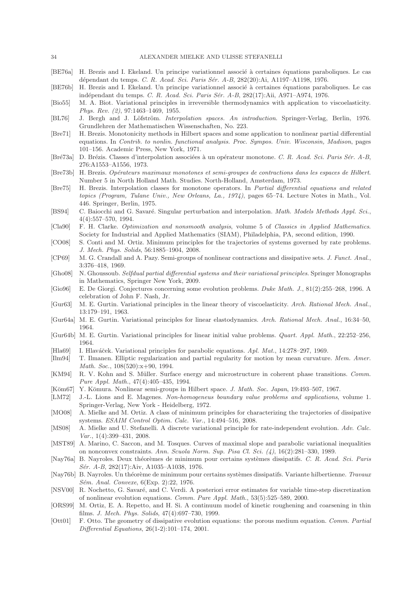- [BE76a] H. Brezis and I. Ekeland. Un principe variationnel associé à certaines équations paraboliques. Le cas dépendant du temps. C. R. Acad. Sci. Paris Sér. A-B, 282(20):Ai, A1197-A1198, 1976.
- [BE76b] H. Brezis and I. Ekeland. Un principe variationnel associé à certaines équations paraboliques. Le cas indépendant du temps. C. R. Acad. Sci. Paris Sér. A-B, 282(17):Aii, A971–A974, 1976.
- [Bio55] M. A. Biot. Variational principles in irreversible thermodynamics with application to viscoelasticity. Phys. Rev. (2), 97:1463–1469, 1955.
- [BL76] J. Bergh and J. Löfström. Interpolation spaces. An introduction. Springer-Verlag, Berlin, 1976. Grundlehren der Mathematischen Wissenschaften, No. 223.
- [Bre71] H. Brezis. Monotonicity methods in Hilbert spaces and some application to nonlinear partial differential equations. In Contrib. to nonlin. functional analysis. Proc. Sympos. Univ. Wisconsin, Madison, pages 101–156. Academic Press, New York, 1971.
- [Bré73a] D. Brézis. Classes d'interpolation associées à un opérateur monotone. C. R. Acad. Sci. Paris Sér. A-B, 276:A1553–A1556, 1973.
- [Bre73b] H. Brezis. Opérateurs maximaux monotones et semi-groupes de contractions dans les espaces de Hilbert. Number 5 in North Holland Math. Studies. North-Holland, Amsterdam, 1973.
- [Bre75] H. Brezis. Interpolation classes for monotone operators. In Partial differential equations and related topics (Program, Tulane Univ., New Orleans, La., 1974), pages 65–74. Lecture Notes in Math., Vol. 446. Springer, Berlin, 1975.
- [BS94] C. Baiocchi and G. Savaré. Singular perturbation and interpolation. Math. Models Methods Appl. Sci., 4(4):557–570, 1994.
- [Cla90] F. H. Clarke. Optimization and nonsmooth analysis, volume 5 of Classics in Applied Mathematics. Society for Industrial and Applied Mathematics (SIAM), Philadelphia, PA, second edition, 1990.
- [CO08] S. Conti and M. Ortiz. Minimum principles for the trajectories of systems governed by rate problems. J. Mech. Phys. Solids, 56:1885–1904, 2008.
- [CP69] M. G. Crandall and A. Pazy. Semi-groups of nonlinear contractions and dissipative sets. J. Funct. Anal., 3:376–418, 1969.
- [Gho08] N. Ghoussoub. Selfdual partial differential systems and their variational principles. Springer Monographs in Mathematics, Springer New York, 2009.
- [Gio96] E. De Giorgi. Conjectures concerning some evolution problems. Duke Math. J., 81(2):255–268, 1996. A celebration of John F. Nash, Jr.
- [Gur63] M. E. Gurtin. Variational principles in the linear theory of viscoelasticity. Arch. Rational Mech. Anal., 13:179–191, 1963.
- [Gur64a] M. E. Gurtin. Variational principles for linear elastodynamics. Arch. Rational Mech. Anal., 16:34–50, 1964.
- [Gur64b] M. E. Gurtin. Variational principles for linear initial value problems. Quart. Appl. Math., 22:252–256, 1964.
- [Hla69] I. Hlaváček. Variational principles for parabolic equations. Apl. Mat., 14:278–297, 1969.
- [Ilm94] T. Ilmanen. Elliptic regularization and partial regularity for motion by mean curvature. Mem. Amer. Math. Soc., 108(520):x+90, 1994.
- [KM94] R. V. Kohn and S. Müller. Surface energy and microstructure in coherent phase transitions. Comm. Pure Appl. Math., 47(4):405–435, 1994.
- [Kōm67] Y. Kōmura. Nonlinear semi-groups in Hilbert space. J. Math. Soc. Japan, 19:493-507, 1967.
- [LM72] J.-L. Lions and E. Magenes. Non-homogeneus boundary value problems and applications, volume 1. Springer-Verlag, New York - Heidelberg, 1972.
- [MO08] A. Mielke and M. Ortiz. A class of minimum principles for characterizing the trajectories of dissipative systems. ESAIM Control Optim. Calc. Var., 14:494–516, 2008.
- [MS08] A. Mielke and U. Stefanelli. A discrete variational principle for rate-independent evolution. Adv. Calc. Var., 1(4):399–431, 2008.
- [MST89] A. Marino, C. Saccon, and M. Tosques. Curves of maximal slope and parabolic variational inequalities on nonconvex constraints. Ann. Scuola Norm. Sup. Pisa Cl. Sci.  $(4)$ , 16(2):281–330, 1989.
- [Nay76a] B. Nayroles. Deux théorèmes de minimum pour certains systèmes dissipatifs. C. R. Acad. Sci. Paris Sér. A-B, 282(17):Aiv, A1035-A1038, 1976.
- [Nay76b] B. Nayroles. Un théorème de minimum pour certains systèmes dissipatifs. Variante hilbertienne. Travaux Sém. Anal. Convexe, 6(Exp. 2):22, 1976.
- [NSV00] R. Nochetto, G. Savaré, and C. Verdi. A posteriori error estimates for variable time-step discretization of nonlinear evolution equations. Comm. Pure Appl. Math., 53(5):525–589, 2000.
- [ORS99] M. Ortiz, E. A. Repetto, and H. Si. A continuum model of kinetic roughening and coarsening in thin films. J. Mech. Phys. Solids, 47(4):697–730, 1999.
- [Ott01] F. Otto. The geometry of dissipative evolution equations: the porous medium equation. Comm. Partial Differential Equations, 26(1-2):101–174, 2001.